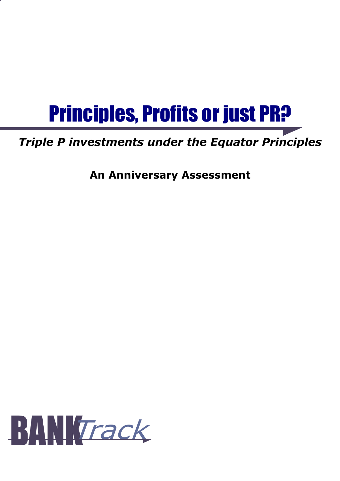# Principles, Profits or just PR?

# Triple P investments under the Equator Principles

An Anniversary Assessment

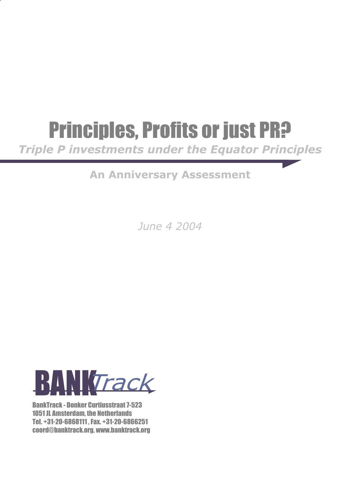# Principles, Profits or just PR?

# Triple P investments under the Equator Principles

# An Anniversary Assessment

June 4 2004



BankTrack - Donker Curtiusstraat 7-523 1051 JL Amsterdam, the Netherlands Tel. +31-20-6868111 , Fax. +31-20-6866251 coord@banktrack.org, www.banktrack.org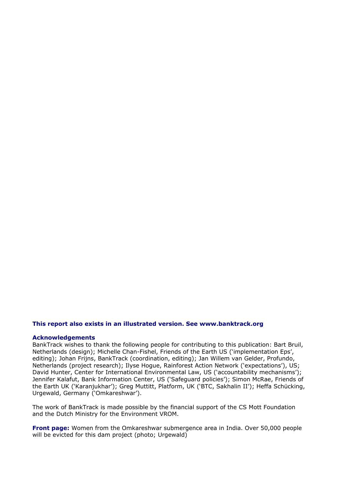#### This report also exists in an illustrated version. See www.banktrack.org

#### **Acknowledgements**

BankTrack wishes to thank the following people for contributing to this publication: Bart Bruil, Netherlands (design); Michelle Chan-Fishel, Friends of the Earth US ('implementation Eps', editing); Johan Frijns, BankTrack (coordination, editing); Jan Willem van Gelder, Profundo, Netherlands (project research); Ilyse Hogue, Rainforest Action Network ('expectations'), US; David Hunter, Center for International Environmental Law, US ('accountability mechanisms'); Jennifer Kalafut, Bank Information Center, US ('Safeguard policies'); Simon McRae, Friends of the Earth UK ('Karanjukhar'); Greg Muttitt, Platform, UK ('BTC, Sakhalin II'); Heffa Schücking, Urgewald, Germany ('Omkareshwar').

The work of BankTrack is made possible by the financial support of the CS Mott Foundation and the Dutch Ministry for the Environment VROM.

Front page: Women from the Omkareshwar submergence area in India. Over 50,000 people will be evicted for this dam project (photo; Urgewald)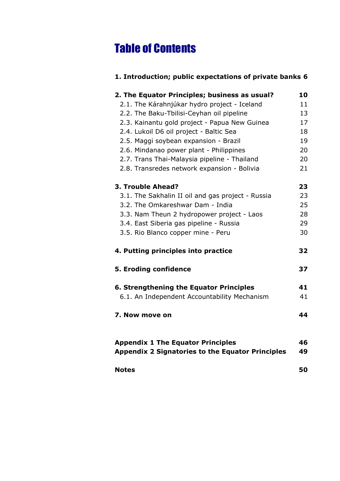# Table of Contents

### 1. Introduction; public expectations of private banks 6

| 2. The Equator Principles; business as usual?           | 10       |
|---------------------------------------------------------|----------|
| 2.1. The Kárahnjúkar hydro project - Iceland            | 11       |
| 2.2. The Baku-Tbilisi-Ceyhan oil pipeline               | 13       |
| 2.3. Kainantu gold project - Papua New Guinea           | 17<br>18 |
| 2.4. Lukoil D6 oil project - Baltic Sea                 |          |
| 2.5. Maggi soybean expansion - Brazil                   | 19       |
| 2.6. Mindanao power plant - Philippines                 | 20       |
| 2.7. Trans Thai-Malaysia pipeline - Thailand            | 20       |
| 2.8. Transredes network expansion - Bolivia             | 21       |
| 3. Trouble Ahead?                                       | 23       |
| 3.1. The Sakhalin II oil and gas project - Russia       | 23       |
| 3.2. The Omkareshwar Dam - India                        | 25       |
| 3.3. Nam Theun 2 hydropower project - Laos              | 28       |
| 3.4. East Siberia gas pipeline - Russia                 | 29       |
| 3.5. Rio Blanco copper mine - Peru                      | 30       |
| 4. Putting principles into practice                     | 32       |
| 5. Eroding confidence                                   | 37       |
| 6. Strengthening the Equator Principles                 | 41       |
| 6.1. An Independent Accountability Mechanism            | 41       |
| 7. Now move on                                          | 44       |
| <b>Appendix 1 The Equator Principles</b>                | 46       |
| <b>Appendix 2 Signatories to the Equator Principles</b> | 49       |
| <b>Notes</b>                                            | 50       |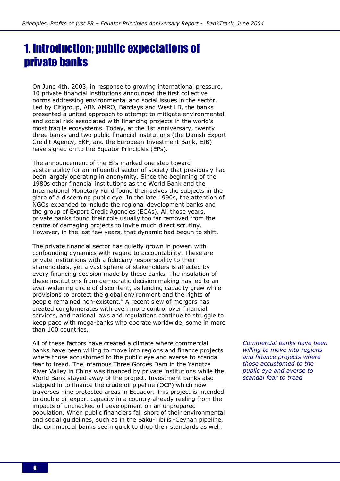# 1. Introduction; public expectations of private banks

On June 4th, 2003, in response to growing international pressure, 10 private financial institutions announced the first collective norms addressing environmental and social issues in the sector. Led by Citigroup, ABN AMRO, Barclays and West LB, the banks presented a united approach to attempt to mitigate environmental and social risk associated with financing projects in the world's most fragile ecosystems. Today, at the 1st anniversary, twenty three banks and two public financial institutions (the Danish Export Creidit Agency, EKF, and the European Investment Bank, EIB) have signed on to the Equator Principles (EPs).

The announcement of the EPs marked one step toward sustainability for an influential sector of society that previously had been largely operating in anonymity. Since the beginning of the 1980s other financial institutions as the World Bank and the International Monetary Fund found themselves the subjects in the glare of a discerning public eye. In the late 1990s, the attention of NGOs expanded to include the regional development banks and the group of Export Credit Agencies (ECAs). All those years, private banks found their role usually too far removed from the centre of damaging projects to invite much direct scrutiny. However, in the last few years, that dynamic had begun to shift.

The private financial sector has quietly grown in power, with confounding dynamics with regard to accountability. These are private institutions with a fiduciary responsibility to their shareholders, yet a vast sphere of stakeholders is affected by every financing decision made by these banks. The insulation of these institutions from democratic decision making has led to an ever-widening circle of discontent, as lending capacity grew while provisions to protect the global environment and the rights of people remained non-existent.<sup>1</sup> A recent slew of mergers has created conglomerates with even more control over financial services, and national laws and regulations continue to struggle to keep pace with mega-banks who operate worldwide, some in more than 100 countries.

All of these factors have created a climate where commercial banks have been willing to move into regions and finance projects where those accustomed to the public eye and averse to scandal fear to tread. The infamous Three Gorges Dam in the Yangtze River Valley in China was financed by private institutions while the World Bank stayed away of the project. Investment banks also stepped in to finance the crude oil pipeline (OCP) which now traverses nine protected areas in Ecuador. This project is intended to double oil export capacity in a country already reeling from the impacts of unchecked oil development on an unprepared population. When public financiers fall short of their environmental and social guidelines, such as in the Baku-Tibilisi-Ceyhan pipeline, the commercial banks seem quick to drop their standards as well.

Commercial banks have been willing to move into regions and finance projects where those accustomed to the public eye and averse to scandal fear to tread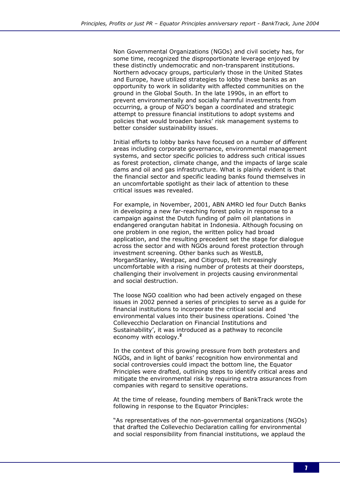Non Governmental Organizations (NGOs) and civil society has, for some time, recognized the disproportionate leverage enjoyed by these distinctly undemocratic and non-transparent institutions. Northern advocacy groups, particularly those in the United States and Europe, have utilized strategies to lobby these banks as an opportunity to work in solidarity with affected communities on the ground in the Global South. In the late 1990s, in an effort to prevent environmentally and socially harmful investments from occurring, a group of NGO's began a coordinated and strategic attempt to pressure financial institutions to adopt systems and policies that would broaden banks' risk management systems to better consider sustainability issues.

Initial efforts to lobby banks have focused on a number of different areas including corporate governance, environmental management systems, and sector specific policies to address such critical issues as forest protection, climate change, and the impacts of large scale dams and oil and gas infrastructure. What is plainly evident is that the financial sector and specific leading banks found themselves in an uncomfortable spotlight as their lack of attention to these critical issues was revealed.

For example, in November, 2001, ABN AMRO led four Dutch Banks in developing a new far-reaching forest policy in response to a campaign against the Dutch funding of palm oil plantations in endangered orangutan habitat in Indonesia. Although focusing on one problem in one region, the written policy had broad application, and the resulting precedent set the stage for dialogue across the sector and with NGOs around forest protection through investment screening. Other banks such as WestLB, MorganStanley, Westpac, and Citigroup, felt increasingly uncomfortable with a rising number of protests at their doorsteps, challenging their involvement in projects causing environmental and social destruction.

The loose NGO coalition who had been actively engaged on these issues in 2002 penned a series of principles to serve as a guide for financial institutions to incorporate the critical social and environmental values into their business operations. Coined 'the Collevecchio Declaration on Financial Institutions and Sustainability', it was introduced as a pathway to reconcile economy with ecology.<sup>2</sup>

In the context of this growing pressure from both protesters and NGOs, and in light of banks' recognition how environmental and social controversies could impact the bottom line, the Equator Principles were drafted, outlining steps to identify critical areas and mitigate the environmental risk by requiring extra assurances from companies with regard to sensitive operations.

At the time of release, founding members of BankTrack wrote the following in response to the Equator Principles:

"As representatives of the non-governmental organizations (NGOs) that drafted the Collevechio Declaration calling for environmental and social responsibility from financial institutions, we applaud the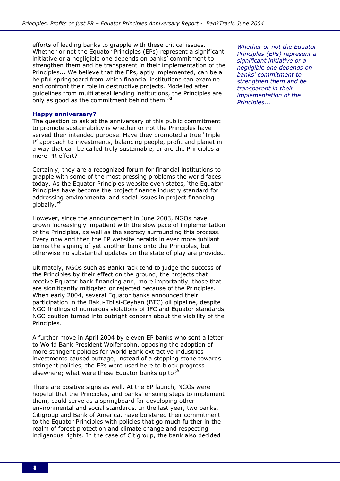efforts of leading banks to grapple with these critical issues. Whether or not the Equator Principles (EPs) represent a significant initiative or a negligible one depends on banks' commitment to strengthen them and be transparent in their implementation of the Principles... We believe that the EPs, aptly implemented, can be a helpful springboard from which financial institutions can examine and confront their role in destructive projects. Modelled after guidelines from multilateral lending institutions, the Principles are only as good as the commitment behind them."<sup>3</sup>

#### Happy anniversary?

The question to ask at the anniversary of this public commitment to promote sustainability is whether or not the Principles have served their intended purpose. Have they promoted a true 'Triple P' approach to investments, balancing people, profit and planet in a way that can be called truly sustainable, or are the Principles a mere PR effort?

Certainly, they are a recognized forum for financial institutions to grapple with some of the most pressing problems the world faces today. As the Equator Principles website even states, 'the Equator Principles have become the project finance industry standard for addressing environmental and social issues in project financing globally.'<sup>4</sup>

However, since the announcement in June 2003, NGOs have grown increasingly impatient with the slow pace of implementation of the Principles, as well as the secrecy surrounding this process. Every now and then the EP website heralds in ever more jubilant terms the signing of yet another bank onto the Principles, but otherwise no substantial updates on the state of play are provided.

Ultimately, NGOs such as BankTrack tend to judge the success of the Principles by their effect on the ground, the projects that receive Equator bank financing and, more importantly, those that are significantly mitigated or rejected because of the Principles. When early 2004, several Equator banks announced their participation in the Baku-Tblisi-Ceyhan (BTC) oil pipeline, despite NGO findings of numerous violations of IFC and Equator standards, NGO caution turned into outright concern about the viability of the Principles.

A further move in April 2004 by eleven EP banks who sent a letter to World Bank President Wolfensohn, opposing the adoption of more stringent policies for World Bank extractive industries investments caused outrage; instead of a stepping stone towards stringent policies, the EPs were used here to block progress elsewhere; what were these Equator banks up to? $5^5$ 

There are positive signs as well. At the EP launch, NGOs were hopeful that the Principles, and banks' ensuing steps to implement them, could serve as a springboard for developing other environmental and social standards. In the last year, two banks, Citigroup and Bank of America, have bolstered their commitment to the Equator Principles with policies that go much further in the realm of forest protection and climate change and respecting indigenous rights. In the case of Citigroup, the bank also decided

Whether or not the Equator Principles (EPs) represent a significant initiative or a negligible one depends on banks' commitment to strengthen them and be transparent in their implementation of the Principles...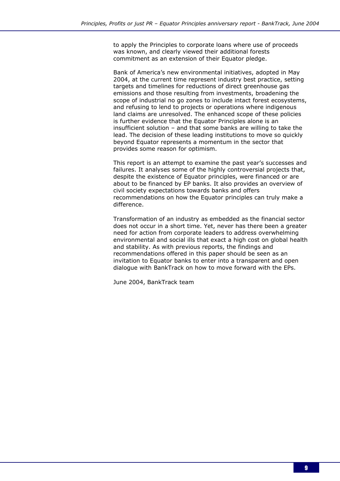to apply the Principles to corporate loans where use of proceeds was known, and clearly viewed their additional forests commitment as an extension of their Equator pledge.

Bank of America's new environmental initiatives, adopted in May 2004, at the current time represent industry best practice, setting targets and timelines for reductions of direct greenhouse gas emissions and those resulting from investments, broadening the scope of industrial no go zones to include intact forest ecosystems, and refusing to lend to projects or operations where indigenous land claims are unresolved. The enhanced scope of these policies is further evidence that the Equator Principles alone is an insufficient solution – and that some banks are willing to take the lead. The decision of these leading institutions to move so quickly beyond Equator represents a momentum in the sector that provides some reason for optimism.

This report is an attempt to examine the past year's successes and failures. It analyses some of the highly controversial projects that, despite the existence of Equator principles, were financed or are about to be financed by EP banks. It also provides an overview of civil society expectations towards banks and offers recommendations on how the Equator principles can truly make a difference.

Transformation of an industry as embedded as the financial sector does not occur in a short time. Yet, never has there been a greater need for action from corporate leaders to address overwhelming environmental and social ills that exact a high cost on global health and stability. As with previous reports, the findings and recommendations offered in this paper should be seen as an invitation to Equator banks to enter into a transparent and open dialogue with BankTrack on how to move forward with the EPs.

June 2004, BankTrack team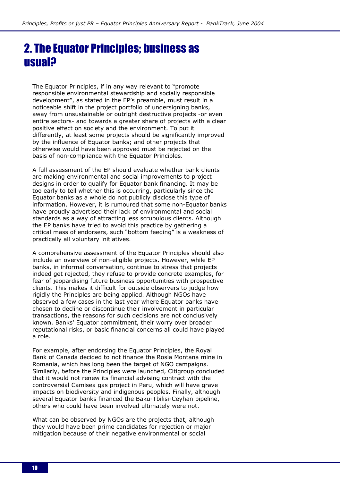# 2. The Equator Principles; business as usual?

The Equator Principles, if in any way relevant to "promote responsible environmental stewardship and socially responsible development", as stated in the EP's preamble, must result in a noticeable shift in the project portfolio of undersigning banks, away from unsustainable or outright destructive projects -or even entire sectors- and towards a greater share of projects with a clear positive effect on society and the environment. To put it differently, at least some projects should be significantly improved by the influence of Equator banks; and other projects that otherwise would have been approved must be rejected on the basis of non-compliance with the Equator Principles.

A full assessment of the EP should evaluate whether bank clients are making environmental and social improvements to project designs in order to qualify for Equator bank financing. It may be too early to tell whether this is occurring, particularly since the Equator banks as a whole do not publicly disclose this type of information. However, it is rumoured that some non-Equator banks have proudly advertised their lack of environmental and social standards as a way of attracting less scrupulous clients. Although the EP banks have tried to avoid this practice by gathering a critical mass of endorsers, such "bottom feeding" is a weakness of practically all voluntary initiatives.

A comprehensive assessment of the Equator Principles should also include an overview of non-eligible projects. However, while EP banks, in informal conversation, continue to stress that projects indeed get rejected, they refuse to provide concrete examples, for fear of jeopardising future business opportunities with prospective clients. This makes it difficult for outside observers to judge how rigidly the Principles are being applied. Although NGOs have observed a few cases in the last year where Equator banks have chosen to decline or discontinue their involvement in particular transactions, the reasons for such decisions are not conclusively known. Banks' Equator commitment, their worry over broader reputational risks, or basic financial concerns all could have played a role.

For example, after endorsing the Equator Principles, the Royal Bank of Canada decided to not finance the Rosia Montana mine in Romania, which has long been the target of NGO campaigns. Similarly, before the Principles were launched, Citigroup concluded that it would not renew its financial advising contract with the controversial Camisea gas project in Peru, which will have grave impacts on biodiversity and indigenous peoples. Finally, although several Equator banks financed the Baku-Tbilisi-Ceyhan pipeline, others who could have been involved ultimately were not.

What can be observed by NGOs are the projects that, although they would have been prime candidates for rejection or major mitigation because of their negative environmental or social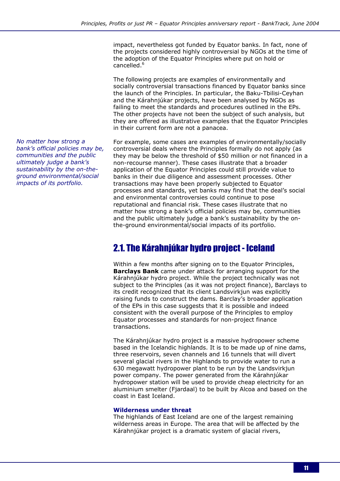impact, nevertheless got funded by Equator banks. In fact, none of the projects considered highly controversial by NGOs at the time of the adoption of the Equator Principles where put on hold or cancelled.<sup>6</sup>

The following projects are examples of environmentally and socially controversial transactions financed by Equator banks since the launch of the Principles. In particular, the Baku-Tbilisi-Ceyhan and the Kárahnjúkar projects, have been analysed by NGOs as failing to meet the standards and procedures outlined in the EPs. The other projects have not been the subject of such analysis, but they are offered as illustrative examples that the Equator Principles in their current form are not a panacea.

For example, some cases are examples of environmentally/socially controversial deals where the Principles formally do not apply (as they may be below the threshold of \$50 million or not financed in a non-recourse manner). These cases illustrate that a broader application of the Equator Principles could still provide value to banks in their due diligence and assessment processes. Other transactions may have been properly subjected to Equator processes and standards, yet banks may find that the deal's social and environmental controversies could continue to pose reputational and financial risk. These cases illustrate that no matter how strong a bank's official policies may be, communities and the public ultimately judge a bank's sustainability by the onthe-ground environmental/social impacts of its portfolio.

### 2.1. The Kárahnjúkar hydro project - Iceland

Within a few months after signing on to the Equator Principles, **Barclays Bank** came under attack for arranging support for the Kárahnjúkar hydro project. While the project technically was not subject to the Principles (as it was not project finance), Barclays to its credit recognized that its client Landsvirkjun was explicitly raising funds to construct the dams. Barclay's broader application of the EPs in this case suggests that it is possible and indeed consistent with the overall purpose of the Principles to employ Equator processes and standards for non-project finance transactions.

The Kárahnjúkar hydro project is a massive hydropower scheme based in the Icelandic highlands. It is to be made up of nine dams, three reservoirs, seven channels and 16 tunnels that will divert several glacial rivers in the Highlands to provide water to run a 630 megawatt hydropower plant to be run by the Landsvirkjun power company. The power generated from the Kárahnjúkar hydropower station will be used to provide cheap electricity for an aluminium smelter (Fjardaal) to be built by Alcoa and based on the coast in East Iceland.

#### Wilderness under threat

The highlands of East Iceland are one of the largest remaining wilderness areas in Europe. The area that will be affected by the Kárahnjúkar project is a dramatic system of glacial rivers,

No matter how strong a bank's official policies may be, communities and the public ultimately judge a bank's sustainability by the on-theground environmental/social impacts of its portfolio.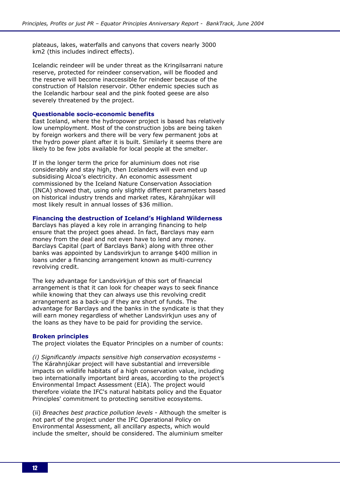plateaus, lakes, waterfalls and canyons that covers nearly 3000 km2 (this includes indirect effects).

Icelandic reindeer will be under threat as the Kringilsarrani nature reserve, protected for reindeer conservation, will be flooded and the reserve will become inaccessible for reindeer because of the construction of Halslon reservoir. Other endemic species such as the Icelandic harbour seal and the pink footed geese are also severely threatened by the project.

#### Questionable socio-economic benefits

East Iceland, where the hydropower project is based has relatively low unemployment. Most of the construction jobs are being taken by foreign workers and there will be very few permanent jobs at the hydro power plant after it is built. Similarly it seems there are likely to be few jobs available for local people at the smelter.

If in the longer term the price for aluminium does not rise considerably and stay high, then Icelanders will even end up subsidising Alcoa's electricity. An economic assessment commissioned by the Iceland Nature Conservation Association (INCA) showed that, using only slightly different parameters based on historical industry trends and market rates, Kárahnjúkar will most likely result in annual losses of \$36 million.

#### Financing the destruction of Iceland's Highland Wilderness

Barclays has played a key role in arranging financing to help ensure that the project goes ahead. In fact, Barclays may earn money from the deal and not even have to lend any money. Barclays Capital (part of Barclays Bank) along with three other banks was appointed by Landsvirkjun to arrange \$400 million in loans under a financing arrangement known as multi-currency revolving credit.

The key advantage for Landsvirkjun of this sort of financial arrangement is that it can look for cheaper ways to seek finance while knowing that they can always use this revolving credit arrangement as a back-up if they are short of funds. The advantage for Barclays and the banks in the syndicate is that they will earn money regardless of whether Landsvirkjun uses any of the loans as they have to be paid for providing the service.

#### Broken principles

The project violates the Equator Principles on a number of counts:

(i) Significantly impacts sensitive high conservation ecosystems - The Kárahnjúkar project will have substantial and irreversible impacts on wildlife habitats of a high conservation value, including two internationally important bird areas, according to the project's Environmental Impact Assessment (EIA). The project would therefore violate the IFC's natural habitats policy and the Equator Principles' commitment to protecting sensitive ecosystems.

(ii) Breaches best practice pollution levels - Although the smelter is not part of the project under the IFC Operational Policy on Environmental Assessment, all ancillary aspects, which would include the smelter, should be considered. The aluminium smelter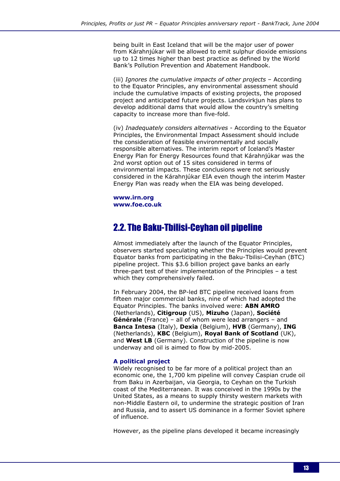being built in East Iceland that will be the major user of power from Kárahnjúkar will be allowed to emit sulphur dioxide emissions up to 12 times higher than best practice as defined by the World Bank's Pollution Prevention and Abatement Handbook.

(iii) Ignores the cumulative impacts of other projects – According to the Equator Principles, any environmental assessment should include the cumulative impacts of existing projects, the proposed project and anticipated future projects. Landsvirkjun has plans to develop additional dams that would allow the country's smelting capacity to increase more than five-fold.

(iv) Inadequately considers alternatives - According to the Equator Principles, the Environmental Impact Assessment should include the consideration of feasible environmentally and socially responsible alternatives. The interim report of Iceland's Master Energy Plan for Energy Resources found that Kárahnjúkar was the 2nd worst option out of 15 sites considered in terms of environmental impacts. These conclusions were not seriously considered in the Kárahnjúkar EIA even though the interim Master Energy Plan was ready when the EIA was being developed.

www.irn.org www.foe.co.uk

### 2.2. The Baku-Tbilisi-Ceyhan oil pipeline

Almost immediately after the launch of the Equator Principles, observers started speculating whether the Principles would prevent Equator banks from participating in the Baku-Tbilisi-Ceyhan (BTC) pipeline project. This \$3.6 billion project gave banks an early three-part test of their implementation of the Principles – a test which they comprehensively failed.

In February 2004, the BP-led BTC pipeline received loans from fifteen major commercial banks, nine of which had adopted the Equator Principles. The banks involved were: ABN AMRO (Netherlands), Citigroup (US), Mizuho (Japan), Société Générale (France) – all of whom were lead arrangers – and Banca Intesa (Italy), Dexia (Belgium), HVB (Germany), ING (Netherlands), KBC (Belgium), Royal Bank of Scotland (UK), and West LB (Germany). Construction of the pipeline is now underway and oil is aimed to flow by mid-2005.

#### A political project

Widely recognised to be far more of a political project than an economic one, the 1,700 km pipeline will convey Caspian crude oil from Baku in Azerbaijan, via Georgia, to Ceyhan on the Turkish coast of the Mediterranean. It was conceived in the 1990s by the United States, as a means to supply thirsty western markets with non-Middle Eastern oil, to undermine the strategic position of Iran and Russia, and to assert US dominance in a former Soviet sphere of influence.

However, as the pipeline plans developed it became increasingly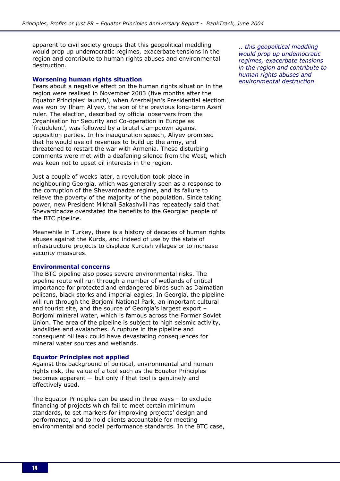apparent to civil society groups that this geopolitical meddling would prop up undemocratic regimes, exacerbate tensions in the region and contribute to human rights abuses and environmental destruction.

#### Worsening human rights situation

Fears about a negative effect on the human rights situation in the region were realised in November 2003 (five months after the Equator Principles' launch), when Azerbaijan's Presidential election was won by Ilham Aliyev, the son of the previous long-term Azeri ruler. The election, described by official observers from the Organisation for Security and Co-operation in Europe as 'fraudulent', was followed by a brutal clampdown against opposition parties. In his inauguration speech, Aliyev promised that he would use oil revenues to build up the army, and threatened to restart the war with Armenia. These disturbing comments were met with a deafening silence from the West, which was keen not to upset oil interests in the region.

Just a couple of weeks later, a revolution took place in neighbouring Georgia, which was generally seen as a response to the corruption of the Shevardnadze regime, and its failure to relieve the poverty of the majority of the population. Since taking power, new President Mikhail Sakashvili has repeatedly said that Shevardnadze overstated the benefits to the Georgian people of the BTC pipeline.

Meanwhile in Turkey, there is a history of decades of human rights abuses against the Kurds, and indeed of use by the state of infrastructure projects to displace Kurdish villages or to increase security measures.

#### Environmental concerns

The BTC pipeline also poses severe environmental risks. The pipeline route will run through a number of wetlands of critical importance for protected and endangered birds such as Dalmatian pelicans, black storks and imperial eagles. In Georgia, the pipeline will run through the Borjomi National Park, an important cultural and tourist site, and the source of Georgia's largest export – Borjomi mineral water, which is famous across the Former Soviet Union. The area of the pipeline is subject to high seismic activity, landslides and avalanches. A rupture in the pipeline and consequent oil leak could have devastating consequences for mineral water sources and wetlands.

#### Equator Principles not applied

Against this background of political, environmental and human rights risk, the value of a tool such as the Equator Principles becomes apparent -- but only if that tool is genuinely and effectively used.

The Equator Principles can be used in three ways – to exclude financing of projects which fail to meet certain minimum standards, to set markers for improving projects' design and performance, and to hold clients accountable for meeting environmental and social performance standards. In the BTC case, .. this geopolitical meddling would prop up undemocratic regimes, exacerbate tensions in the region and contribute to human rights abuses and environmental destruction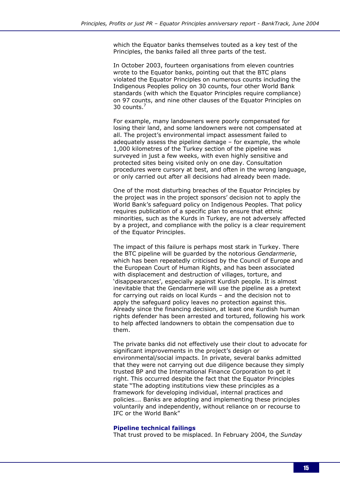which the Equator banks themselves touted as a key test of the Principles, the banks failed all three parts of the test.

In October 2003, fourteen organisations from eleven countries wrote to the Equator banks, pointing out that the BTC plans violated the Equator Principles on numerous counts including the Indigenous Peoples policy on 30 counts, four other World Bank standards (with which the Equator Principles require compliance) on 97 counts, and nine other clauses of the Equator Principles on 30 counts. $<sup>7</sup>$ </sup>

For example, many landowners were poorly compensated for losing their land, and some landowners were not compensated at all. The project's environmental impact assessment failed to adequately assess the pipeline damage – for example, the whole 1,000 kilometres of the Turkey section of the pipeline was surveyed in just a few weeks, with even highly sensitive and protected sites being visited only on one day. Consultation procedures were cursory at best, and often in the wrong language, or only carried out after all decisions had already been made.

One of the most disturbing breaches of the Equator Principles by the project was in the project sponsors' decision not to apply the World Bank's safeguard policy on Indigenous Peoples. That policy requires publication of a specific plan to ensure that ethnic minorities, such as the Kurds in Turkey, are not adversely affected by a project, and compliance with the policy is a clear requirement of the Equator Principles.

The impact of this failure is perhaps most stark in Turkey. There the BTC pipeline will be guarded by the notorious Gendarmerie, which has been repeatedly criticised by the Council of Europe and the European Court of Human Rights, and has been associated with displacement and destruction of villages, torture, and 'disappearances', especially against Kurdish people. It is almost inevitable that the Gendarmerie will use the pipeline as a pretext for carrying out raids on local Kurds – and the decision not to apply the safeguard policy leaves no protection against this. Already since the financing decision, at least one Kurdish human rights defender has been arrested and tortured, following his work to help affected landowners to obtain the compensation due to them.

The private banks did not effectively use their clout to advocate for significant improvements in the project's design or environmental/social impacts. In private, several banks admitted that they were not carrying out due diligence because they simply trusted BP and the International Finance Corporation to get it right. This occurred despite the fact that the Equator Principles state "The adopting institutions view these principles as a framework for developing individual, internal practices and policies…. Banks are adopting and implementing these principles voluntarily and independently, without reliance on or recourse to IFC or the World Bank"

#### Pipeline technical failings

That trust proved to be misplaced. In February 2004, the Sunday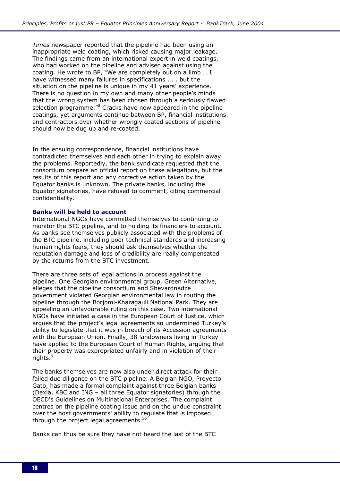Times newspaper reported that the pipeline had been using an inappropriate weld coating, which risked causing major leakage. The findings came from an international expert in weld coatings, who had worked on the pipeline and advised against using the coating. He wrote to BP, "We are completely out on a limb … I have witnessed many failures in specifications . . . but the situation on the pipeline is unique in my 41 years' experience. There is no question in my own and many other people's minds that the wrong system has been chosen through a seriously flawed selection programme."<sup>8</sup> Cracks have now appeared in the pipeline coatings, yet arguments continue between BP, financial institutions and contractors over whether wrongly coated sections of pipeline should now be dug up and re-coated.

In the ensuing correspondence, financial institutions have contradicted themselves and each other in trying to explain away the problems. Reportedly, the bank syndicate requested that the consortium prepare an official report on these allegations, but the results of this report and any corrective action taken by the Equator banks is unknown. The private banks, including the Equator signatories, have refused to comment, citing commercial confidentiality.

#### Banks will be held to account

International NGOs have committed themselves to continuing to monitor the BTC pipeline, and to holding its financiers to account. As banks see themselves publicly associated with the problems of the BTC pipeline, including poor technical standards and increasing human rights fears, they should ask themselves whether the reputation damage and loss of credibility are really compensated by the returns from the BTC investment.

There are three sets of legal actions in process against the pipeline. One Georgian environmental group, Green Alternative, alleges that the pipeline consortium and Shevardnadze government violated Georgian environmental law in routing the pipeline through the Borjomi-Kharagauli National Park. They are appealing an unfavourable ruling on this case. Two international NGOs have initiated a case in the European Court of Justice, which argues that the project's legal agreements so undermined Turkey's ability to legislate that it was in breach of its Accession agreements with the European Union. Finally, 38 landowners living in Turkey have applied to the European Court of Human Rights, arguing that their property was expropriated unfairly and in violation of their rights.<sup>9</sup>

The banks themselves are now also under direct attack for their failed due diligence on the BTC pipeline. A Belgian NGO, Proyecto Gato, has made a formal complaint against three Belgian banks (Dexia, KBC and ING – all three Equator signatories) through the OECD's Guidelines on Multinational Enterprises. The complaint centres on the pipeline coating issue and on the undue constraint over the host governments' ability to regulate that is imposed through the project legal agreements.<sup>10</sup>

Banks can thus be sure they have not heard the last of the BTC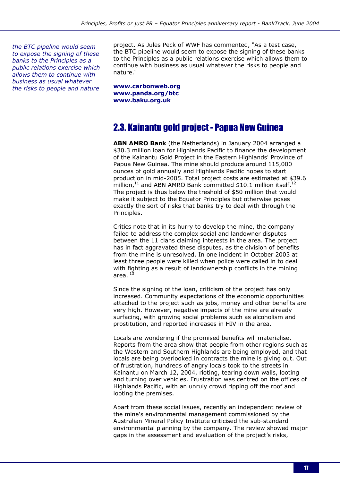the BTC pipeline would seem to expose the signing of these banks to the Principles as a public relations exercise which allows them to continue with business as usual whatever the risks to people and nature

project. As Jules Peck of WWF has commented, "As a test case, the BTC pipeline would seem to expose the signing of these banks to the Principles as a public relations exercise which allows them to continue with business as usual whatever the risks to people and nature."

www.carbonweb.org www.panda.org/btc www.baku.org.uk

### 2.3. Kainantu gold project - Papua New Guinea

ABN AMRO Bank (the Netherlands) in January 2004 arranged a \$30.3 million loan for Highlands Pacific to finance the development of the Kainantu Gold Project in the Eastern Highlands' Province of Papua New Guinea. The mine should produce around 115,000 ounces of gold annually and Highlands Pacific hopes to start production in mid-2005. Total project costs are estimated at \$39.6 million, $^{11}$  and ABN AMRO Bank committed \$10.1 million itself.<sup>12</sup> The project is thus below the treshold of \$50 million that would make it subject to the Equator Principles but otherwise poses exactly the sort of risks that banks try to deal with through the Principles.

Critics note that in its hurry to develop the mine, the company failed to address the complex social and landowner disputes between the 11 clans claiming interests in the area. The project has in fact aggravated these disputes, as the division of benefits from the mine is unresolved. In one incident in October 2003 at least three people were killed when police were called in to deal with fighting as a result of landownership conflicts in the mining area.<sup>13</sup>

Since the signing of the loan, criticism of the project has only increased. Community expectations of the economic opportunities attached to the project such as jobs, money and other benefits are very high. However, negative impacts of the mine are already surfacing, with growing social problems such as alcoholism and prostitution, and reported increases in HIV in the area.

Locals are wondering if the promised benefits will materialise. Reports from the area show that people from other regions such as the Western and Southern Highlands are being employed, and that locals are being overlooked in contracts the mine is giving out. Out of frustration, hundreds of angry locals took to the streets in Kainantu on March 12, 2004, rioting, tearing down walls, looting and turning over vehicles. Frustration was centred on the offices of Highlands Pacific, with an unruly crowd ripping off the roof and looting the premises.

Apart from these social issues, recently an independent review of the mine's environmental management commissioned by the Australian Mineral Policy Institute criticised the sub-standard environmental planning by the company. The review showed major gaps in the assessment and evaluation of the project's risks,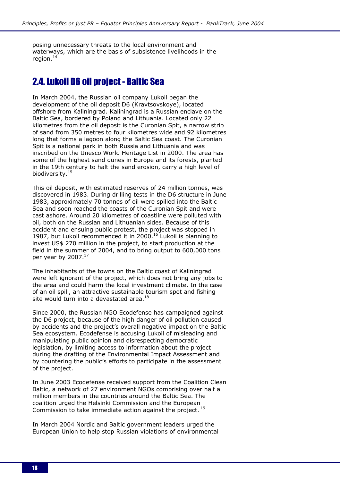posing unnecessary threats to the local environment and waterways, which are the basis of subsistence livelihoods in the region. $14$ 

### 2.4. Lukoil D6 oil project - Baltic Sea

In March 2004, the Russian oil company Lukoil began the development of the oil deposit D6 (Kravtsovskoye), located offshore from Kaliningrad. Kaliningrad is a Russian enclave on the Baltic Sea, bordered by Poland and Lithuania. Located only 22 kilometres from the oil deposit is the Curonian Spit, a narrow strip of sand from 350 metres to four kilometres wide and 92 kilometres long that forms a lagoon along the Baltic Sea coast. The Curonian Spit is a national park in both Russia and Lithuania and was inscribed on the Unesco World Heritage List in 2000. The area has some of the highest sand dunes in Europe and its forests, planted in the 19th century to halt the sand erosion, carry a high level of biodiversity.<sup>15</sup>

This oil deposit, with estimated reserves of 24 million tonnes, was discovered in 1983. During drilling tests in the D6 structure in June 1983, approximately 70 tonnes of oil were spilled into the Baltic Sea and soon reached the coasts of the Curonian Spit and were cast ashore. Around 20 kilometres of coastline were polluted with oil, both on the Russian and Lithuanian sides. Because of this accident and ensuing public protest, the project was stopped in 1987, but Lukoil recommenced it in  $2000$ .<sup>16</sup> Lukoil is planning to invest US\$ 270 million in the project, to start production at the field in the summer of 2004, and to bring output to 600,000 tons per year by  $2007.<sup>17</sup>$ 

The inhabitants of the towns on the Baltic coast of Kaliningrad were left ignorant of the project, which does not bring any jobs to the area and could harm the local investment climate. In the case of an oil spill, an attractive sustainable tourism spot and fishing site would turn into a devastated area.<sup>18</sup>

Since 2000, the Russian NGO Ecodefense has campaigned against the D6 project, because of the high danger of oil pollution caused by accidents and the project's overall negative impact on the Baltic Sea ecosystem. Ecodefense is accusing Lukoil of misleading and manipulating public opinion and disrespecting democratic legislation, by limiting access to information about the project during the drafting of the Environmental Impact Assessment and by countering the public's efforts to participate in the assessment of the project.

In June 2003 Ecodefense received support from the Coalition Clean Baltic, a network of 27 environment NGOs comprising over half a million members in the countries around the Baltic Sea. The coalition urged the Helsinki Commission and the European Commission to take immediate action against the project.<sup>19</sup>

In March 2004 Nordic and Baltic government leaders urged the European Union to help stop Russian violations of environmental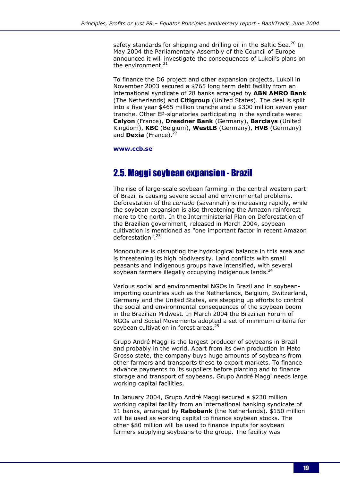safety standards for shipping and drilling oil in the Baltic Sea. $^{20}$  In May 2004 the Parliamentary Assembly of the Council of Europe announced it will investigate the consequences of Lukoil's plans on the environment.<sup>21</sup>

To finance the D6 project and other expansion projects, Lukoil in November 2003 secured a \$765 long term debt facility from an international syndicate of 28 banks arranged by **ABN AMRO Bank** (The Netherlands) and **Citigroup** (United States). The deal is split into a five year \$465 million tranche and a \$300 million seven year tranche. Other EP-signatories participating in the syndicate were: Calyon (France), Dresdner Bank (Germany), Barclays (United Kingdom), KBC (Belgium), WestLB (Germany), HVB (Germany) and **Dexia** (France). $^{22}$ 

www.ccb.se

### 2.5. Maggi soybean expansion - Brazil

The rise of large-scale soybean farming in the central western part of Brazil is causing severe social and environmental problems. Deforestation of the cerrado (savannah) is increasing rapidly, while the soybean expansion is also threatening the Amazon rainforest more to the north. In the Interministerial Plan on Deforestation of the Brazilian government, released in March 2004, soybean cultivation is mentioned as "one important factor in recent Amazon deforestation".<sup>23</sup>

Monoculture is disrupting the hydrological balance in this area and is threatening its high biodiversity. Land conflicts with small peasants and indigenous groups have intensified, with several soybean farmers illegally occupying indigenous lands. $24$ 

Various social and environmental NGOs in Brazil and in soybeanimporting countries such as the Netherlands, Belgium, Switzerland, Germany and the United States, are stepping up efforts to control the social and environmental consequences of the soybean boom in the Brazilian Midwest. In March 2004 the Brazilian Forum of NGOs and Social Movements adopted a set of minimum criteria for soybean cultivation in forest areas.<sup>25</sup>

Grupo André Maggi is the largest producer of soybeans in Brazil and probably in the world. Apart from its own production in Mato Grosso state, the company buys huge amounts of soybeans from other farmers and transports these to export markets. To finance advance payments to its suppliers before planting and to finance storage and transport of soybeans, Grupo André Maggi needs large working capital facilities.

In January 2004, Grupo André Maggi secured a \$230 million working capital facility from an international banking syndicate of 11 banks, arranged by Rabobank (the Netherlands). \$150 million will be used as working capital to finance soybean stocks. The other \$80 million will be used to finance inputs for soybean farmers supplying soybeans to the group. The facility was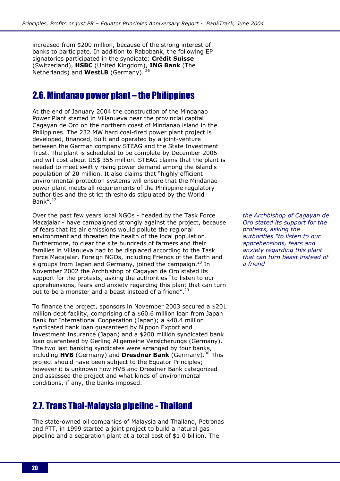increased from \$200 million, because of the strong interest of banks to participate. In addition to Rabobank, the following EP signatories participated in the syndicate: Crédit Suisse (Switzerland), HSBC (United Kingdom), ING Bank (The Netherlands) and **WestLB** (Germany).  $26$ 

### 2.6. Mindanao power plant – the Philippines

At the end of January 2004 the construction of the Mindanao Power Plant started in Villanueva near the provincial capital Cagayan de Oro on the northern coast of Mindanao island in the Philippines. The 232 MW hard coal-fired power plant project is developed, financed, built and operated by a joint-venture between the German company STEAG and the State Investment Trust. The plant is scheduled to be complete by December 2006 and will cost about US\$ 355 million. STEAG claims that the plant is needed to meet swiftly rising power demand among the island's population of 20 million. It also claims that "highly efficient environmental protection systems will ensure that the Mindanao power plant meets all requirements of the Philippine regulatory authorities and the strict thresholds stipulated by the World Bank". $27$ 

Over the past few years local NGOs - headed by the Task Force Macajalar - have campaigned strongly against the project, because of fears that its air emissions would pollute the regional environment and threaten the health of the local population. Furthermore, to clear the site hundreds of farmers and their families in Villanueva had to be displaced according to the Task Force Macajalar. Foreign NGOs, including Friends of the Earth and a groups from Japan and Germany, joined the campaign.<sup>28</sup> In November 2002 the Archbishop of Cagayan de Oro stated its support for the protests, asking the authorities "to listen to our apprehensions, fears and anxiety regarding this plant that can turn out to be a monster and a beast instead of a friend".<sup>29</sup>

To finance the project, sponsors in November 2003 secured a \$201 million debt facility, comprising of a \$60.6 million loan from Japan Bank for International Cooperation (Japan); a \$40.4 million syndicated bank loan guaranteed by Nippon Export and Investment Insurance (Japan) and a \$200 million syndicated bank loan guaranteed by Gerling Allgemeine Versicherungs (Germany). The two last banking syndicates were arranged by four banks, including HVB (Germany) and Dresdner Bank (Germany).<sup>30</sup> This project should have been subject to the Equator Principles; however it is unknown how HVB and Dresdner Bank categorized and assessed the project and what kinds of environmental conditions, if any, the banks imposed.

### 2.7. Trans Thai-Malaysia pipeline - Thailand

The state-owned oil companies of Malaysia and Thailand, Petronas and PTT, in 1999 started a joint project to build a natural gas pipeline and a separation plant at a total cost of \$1.0 billion. The

the Archbishop of Cagayan de Oro stated its support for the protests, asking the authorities "to listen to our apprehensions, fears and anxiety regarding this plant that can turn beast instead of a friend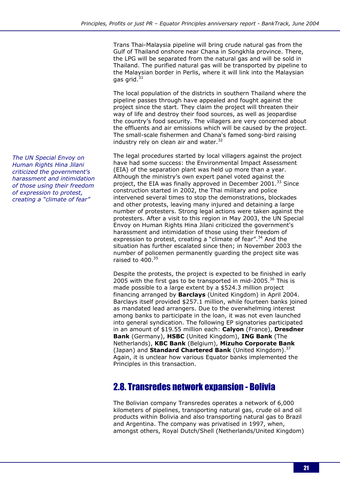Trans Thai-Malaysia pipeline will bring crude natural gas from the Gulf of Thailand onshore near Chana in Songkhla province. There, the LPG will be separated from the natural gas and will be sold in Thailand. The purified natural gas will be transported by pipeline to the Malaysian border in Perlis, where it will link into the Malaysian gas grid. $31$ 

The local population of the districts in southern Thailand where the pipeline passes through have appealed and fought against the project since the start. They claim the project will threaten their way of life and destroy their food sources, as well as jeopardise the country's food security. The villagers are very concerned about the effluents and air emissions which will be caused by the project. The small-scale fishermen and Chana's famed song-bird raising industry rely on clean air and water. $32$ 

The legal procedures started by local villagers against the project have had some success: the Environmental Impact Assessment (EIA) of the separation plant was held up more than a year. Although the ministry's own expert panel voted against the project, the EIA was finally approved in December 2001.<sup>33</sup> Since construction started in 2002, the Thai military and police intervened several times to stop the demonstrations, blockades and other protests, leaving many injured and detaining a large number of protesters. Strong legal actions were taken against the protesters. After a visit to this region in May 2003, the UN Special Envoy on Human Rights Hina Jilani criticized the government's harassment and intimidation of those using their freedom of expression to protest, creating a "climate of fear".<sup>34</sup> And the situation has further escalated since then; in November 2003 the number of policemen permanently guarding the project site was raised to  $400.<sup>35</sup>$ 

Despite the protests, the project is expected to be finished in early 2005 with the first gas to be transported in mid-2005.<sup>36</sup> This is made possible to a large extent by a \$524.3 million project financing arranged by **Barclays** (United Kingdom) in April 2004. Barclays itself provided \$257.1 million, while fourteen banks joined as mandated lead arrangers. Due to the overwhelming interest among banks to participate in the loan, it was not even launched into general syndication. The following EP signatories participated in an amount of \$19.55 million each: Calyon (France), Dresdner Bank (Germany), HSBC (United Kingdom), ING Bank (The Netherlands), KBC Bank (Belgium), Mizuho Corporate Bank (Japan) and **Standard Chartered Bank** (United Kingdom).<sup>37</sup> Again, it is unclear how various Equator banks implemented the Principles in this transaction.

### 2.8. Transredes network expansion - Bolivia

The Bolivian company Transredes operates a network of 6,000 kilometers of pipelines, transporting natural gas, crude oil and oil products within Bolivia and also transporting natural gas to Brazil and Argentina. The company was privatised in 1997, when, amongst others, Royal Dutch/Shell (Netherlands/United Kingdom)

The UN Special Envoy on Human Rights Hina Jilani criticized the government's harassment and intimidation of those using their freedom of expression to protest, creating a "climate of fear"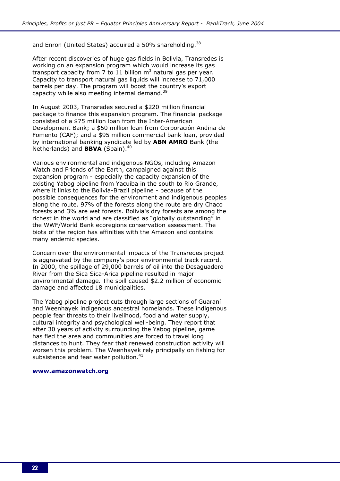and Enron (United States) acquired a 50% shareholding.<sup>38</sup>

After recent discoveries of huge gas fields in Bolivia, Transredes is working on an expansion program which would increase its gas transport capacity from 7 to 11 billion  $m^3$  natural gas per year. Capacity to transport natural gas liquids will increase to 71,000 barrels per day. The program will boost the country's export capacity while also meeting internal demand.<sup>39</sup>

In August 2003, Transredes secured a \$220 million financial package to finance this expansion program. The financial package consisted of a \$75 million loan from the Inter-American Development Bank; a \$50 million loan from Corporación Andina de Fomento (CAF); and a \$95 million commercial bank loan, provided by international banking syndicate led by **ABN AMRO** Bank (the Netherlands) and **BBVA** (Spain).<sup>40</sup>

Various environmental and indigenous NGOs, including Amazon Watch and Friends of the Earth, campaigned against this expansion program - especially the capacity expansion of the existing Yabog pipeline from Yacuiba in the south to Rio Grande, where it links to the Bolivia-Brazil pipeline - because of the possible consequences for the environment and indigenous peoples along the route. 97% of the forests along the route are dry Chaco forests and 3% are wet forests. Bolivia's dry forests are among the richest in the world and are classified as "globally outstanding" in the WWF/World Bank ecoregions conservation assessment. The biota of the region has affinities with the Amazon and contains many endemic species.

Concern over the environmental impacts of the Transredes project is aggravated by the company's poor environmental track record. In 2000, the spillage of 29,000 barrels of oil into the Desaguadero River from the Sica Sica-Arica pipeline resulted in major environmental damage. The spill caused \$2.2 million of economic damage and affected 18 municipalities.

The Yabog pipeline project cuts through large sections of Guaraní and Weenhayek indigenous ancestral homelands. These indigenous people fear threats to their livelihood, food and water supply, cultural integrity and psychological well-being. They report that after 30 years of activity surrounding the Yabog pipeline, game has fled the area and communities are forced to travel long distances to hunt. They fear that renewed construction activity will worsen this problem. The Weenhayek rely principally on fishing for subsistence and fear water pollution.<sup>41</sup>

#### www.amazonwatch.org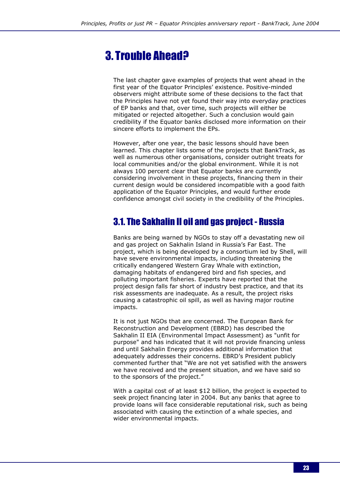# 3. Trouble Ahead?

The last chapter gave examples of projects that went ahead in the first year of the Equator Principles' existence. Positive-minded observers might attribute some of these decisions to the fact that the Principles have not yet found their way into everyday practices of EP banks and that, over time, such projects will either be mitigated or rejected altogether. Such a conclusion would gain credibility if the Equator banks disclosed more information on their sincere efforts to implement the EPs.

However, after one year, the basic lessons should have been learned. This chapter lists some of the projects that BankTrack, as well as numerous other organisations, consider outright treats for local communities and/or the global environment. While it is not always 100 percent clear that Equator banks are currently considering involvement in these projects, financing them in their current design would be considered incompatible with a good faith application of the Equator Principles, and would further erode confidence amongst civil society in the credibility of the Principles.

### 3.1. The Sakhalin II oil and gas project - Russia

Banks are being warned by NGOs to stay off a devastating new oil and gas project on Sakhalin Island in Russia's Far East. The project, which is being developed by a consortium led by Shell, will have severe environmental impacts, including threatening the critically endangered Western Gray Whale with extinction, damaging habitats of endangered bird and fish species, and polluting important fisheries. Experts have reported that the project design falls far short of industry best practice, and that its risk assessments are inadequate. As a result, the project risks causing a catastrophic oil spill, as well as having major routine impacts.

It is not just NGOs that are concerned. The European Bank for Reconstruction and Development (EBRD) has described the Sakhalin II EIA (Environmental Impact Assessment) as "unfit for purpose" and has indicated that it will not provide financing unless and until Sakhalin Energy provides additional information that adequately addresses their concerns. EBRD's President publicly commented further that "We are not yet satisfied with the answers we have received and the present situation, and we have said so to the sponsors of the project."

With a capital cost of at least \$12 billion, the project is expected to seek project financing later in 2004. But any banks that agree to provide loans will face considerable reputational risk, such as being associated with causing the extinction of a whale species, and wider environmental impacts.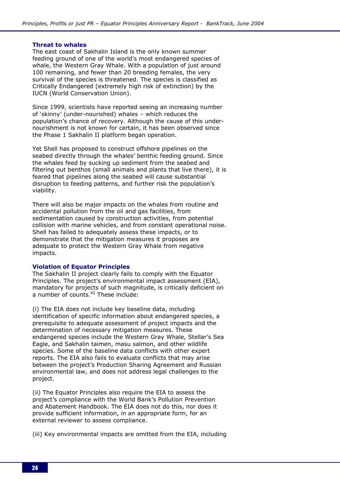#### Threat to whales

The east coast of Sakhalin Island is the only known summer feeding ground of one of the world's most endangered species of whale, the Western Gray Whale. With a population of just around 100 remaining, and fewer than 20 breeding females, the very survival of the species is threatened. The species is classified as Critically Endangered (extremely high risk of extinction) by the IUCN (World Conservation Union).

Since 1999, scientists have reported seeing an increasing number of 'skinny' (under-nourished) whales – which reduces the population's chance of recovery. Although the cause of this undernourishment is not known for certain, it has been observed since the Phase 1 Sakhalin II platform began operation.

Yet Shell has proposed to construct offshore pipelines on the seabed directly through the whales' benthic feeding ground. Since the whales feed by sucking up sediment from the seabed and filtering out benthos (small animals and plants that live there), it is feared that pipelines along the seabed will cause substantial disruption to feeding patterns, and further risk the population's viability.

There will also be major impacts on the whales from routine and accidental pollution from the oil and gas facilities, from sedimentation caused by construction activities, from potential collision with marine vehicles, and from constant operational noise. Shell has failed to adequately assess these impacts, or to demonstrate that the mitigation measures it proposes are adequate to protect the Western Gray Whale from negative impacts.

#### Violation of Equator Principles

The Sakhalin II project clearly fails to comply with the Equator Principles. The project's environmental impact assessment (EIA), mandatory for projects of such magnitude, is critically deficient on a number of counts.<sup>42</sup> These include:

(i) The EIA does not include key baseline data, including identification of specific information about endangered species, a prerequisite to adequate assessment of project impacts and the determination of necessary mitigation measures. These endangered species include the Western Gray Whale, Stellar's Sea Eagle, and Sakhalin taimen, masu salmon, and other wildlife species. Some of the baseline data conflicts with other expert reports. The EIA also fails to evaluate conflicts that may arise between the project's Production Sharing Agreement and Russian environmental law, and does not address legal challenges to the project.

(ii) The Equator Principles also require the EIA to assess the project's compliance with the World Bank's Pollution Prevention and Abatement Handbook. The EIA does not do this, nor does it provide sufficient information, in an appropriate form, for an external reviewer to assess compliance.

(iii) Key environmental impacts are omitted from the EIA, including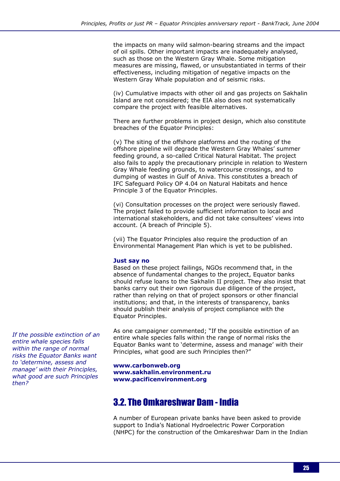the impacts on many wild salmon-bearing streams and the impact of oil spills. Other important impacts are inadequately analysed, such as those on the Western Gray Whale. Some mitigation measures are missing, flawed, or unsubstantiated in terms of their effectiveness, including mitigation of negative impacts on the Western Gray Whale population and of seismic risks.

(iv) Cumulative impacts with other oil and gas projects on Sakhalin Island are not considered; the EIA also does not systematically compare the project with feasible alternatives.

There are further problems in project design, which also constitute breaches of the Equator Principles:

(v) The siting of the offshore platforms and the routing of the offshore pipeline will degrade the Western Gray Whales' summer feeding ground, a so-called Critical Natural Habitat. The project also fails to apply the precautionary principle in relation to Western Gray Whale feeding grounds, to watercourse crossings, and to dumping of wastes in Gulf of Aniva. This constitutes a breach of IFC Safeguard Policy OP 4.04 on Natural Habitats and hence Principle 3 of the Equator Principles.

(vi) Consultation processes on the project were seriously flawed. The project failed to provide sufficient information to local and international stakeholders, and did not take consultees' views into account. (A breach of Principle 5).

(vii) The Equator Principles also require the production of an Environmental Management Plan which is yet to be published.

#### Just say no

Based on these project failings, NGOs recommend that, in the absence of fundamental changes to the project, Equator banks should refuse loans to the Sakhalin II project. They also insist that banks carry out their own rigorous due diligence of the project, rather than relying on that of project sponsors or other financial institutions; and that, in the interests of transparency, banks should publish their analysis of project compliance with the Equator Principles.

As one campaigner commented; "If the possible extinction of an entire whale species falls within the range of normal risks the Equator Banks want to 'determine, assess and manage' with their Principles, what good are such Principles then?"

www.carbonweb.org www.sakhalin.environment.ru www.pacificenvironment.org

### 3.2. The Omkareshwar Dam - India

A number of European private banks have been asked to provide support to India's National Hydroelectric Power Corporation (NHPC) for the construction of the Omkareshwar Dam in the Indian

If the possible extinction of an entire whale species falls within the range of normal risks the Equator Banks want to 'determine, assess and manage' with their Principles, what good are such Principles then?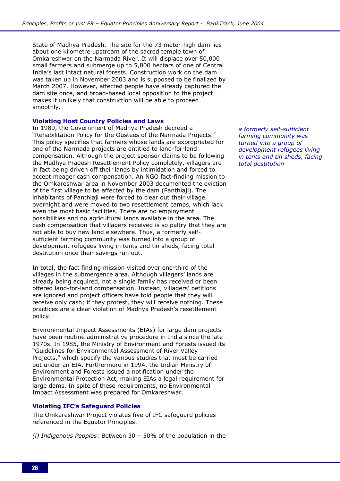State of Madhya Pradesh. The site for the 73 meter-high dam lies about one kilometre upstream of the sacred temple town of Omkareshwar on the Narmada River. It will displace over 50,000 small farmers and submerge up to 5,800 hectars of one of Central India's last intact natural forests. Construction work on the dam was taken up in November 2003 and is supposed to be finalized by March 2007. However, affected people have already captured the dam site once, and broad-based local opposition to the project makes it unlikely that construction will be able to proceed smoothly.

#### Violating Host Country Policies and Laws

In 1989, the Government of Madhya Pradesh decreed a "Rehabilitation Policy for the Oustees of the Narmada Projects." This policy specifies that farmers whose lands are expropriated for one of the Narmada projects are entitled to land-for-land compensation. Although the project sponsor claims to be following the Madhya Pradesh Resettlement Policy completely, villagers are in fact being driven off their lands by intimidation and forced to accept meager cash compensation. An NGO fact-finding mission to the Omkareshwar area in November 2003 documented the eviction of the first village to be affected by the dam (Panthiaji). The inhabitants of Panthiaji were forced to clear out their village overnight and were moved to two resettlement camps, which lack even the most basic facilities. There are no employment possibilities and no agricultural lands available in the area. The cash compensation that villagers received is so paltry that they are not able to buy new land elsewhere. Thus, a formerly selfsufficient farming community was turned into a group of development refugees living in tents and tin sheds, facing total destitution once their savings run out.

In total, the fact finding mission visited over one-third of the villages in the submergence area. Although villagers' lands are already being acquired, not a single family has received or been offered land-for-land compensation. Instead, villagers' petitions are ignored and project officers have told people that they will receive only cash; if they protest, they will receive nothing. These practices are a clear violation of Madhya Pradesh's resettlement policy.

Environmental Impact Assessments (EIAs) for large dam projects have been routine administrative procedure in India since the late 1970s. In 1985, the Ministry of Environment and Forests issued its "Guidelines for Environmental Assessment of River Valley Projects," which specify the various studies that must be carried out under an EIA. Furthermore in 1994, the Indian Ministry of Environment and Forests issued a notification under the Environmental Protection Act, making EIAs a legal requirement for large dams. In spite of these requirements, no Environmental Impact Assessment was prepared for Omkareshwar.

#### Violating IFC's Safeguard Policies

The Omkareshwar Project violates five of IFC safeguard policies referenced in the Equator Principles.

(i) Indigenous Peoples: Between 30 – 50% of the population in the

a formerly self-sufficient farming community was turned into a group of development refugees living in tents and tin sheds, facing total destitution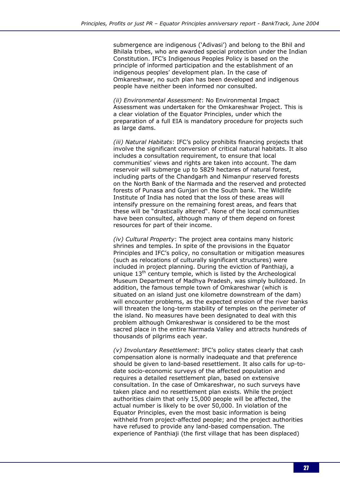submergence are indigenous ('Adivasi') and belong to the Bhil and Bhilala tribes, who are awarded special protection under the Indian Constitution. IFC's Indigenous Peoples Policy is based on the principle of informed participation and the establishment of an indigenous peoples' development plan. In the case of Omkareshwar, no such plan has been developed and indigenous people have neither been informed nor consulted.

(ii) Environmental Assessment: No Environmental Impact Assessment was undertaken for the Omkareshwar Project. This is a clear violation of the Equator Principles, under which the preparation of a full EIA is mandatory procedure for projects such as large dams.

(iii) Natural Habitats: IFC's policy prohibits financing projects that involve the significant conversion of critical natural habitats. It also includes a consultation requirement, to ensure that local communities' views and rights are taken into account. The dam reservoir will submerge up to 5829 hectares of natural forest, including parts of the Chandgarh and Nimanpur reserved forests on the North Bank of the Narmada and the reserved and protected forests of Punasa and Gunjari on the South bank. The Wildlife Institute of India has noted that the loss of these areas will intensify pressure on the remaining forest areas, and fears that these will be "drastically altered". None of the local communities have been consulted, although many of them depend on forest resources for part of their income.

(iv) Cultural Property: The project area contains many historic shrines and temples. In spite of the provisions in the Equator Principles and IFC's policy, no consultation or mitigation measures (such as relocations of culturally significant structures) were included in project planning. During the eviction of Panthiaji, a unique  $13<sup>th</sup>$  century temple, which is listed by the Archeological Museum Department of Madhya Pradesh, was simply bulldozed. In addition, the famous temple town of Omkareshwar (which is situated on an island just one kilometre downstream of the dam) will encounter problems, as the expected erosion of the river banks will threaten the long-term stability of temples on the perimeter of the island. No measures have been designated to deal with this problem although Omkareshwar is considered to be the most sacred place in the entire Narmada Valley and attracts hundreds of thousands of pilgrims each year.

(v) Involuntary Resettlement: IFC's policy states clearly that cash compensation alone is normally inadequate and that preference should be given to land-based resettlement. It also calls for up-todate socio-economic surveys of the affected population and requires a detailed resettlement plan, based on extensive consultation. In the case of Omkareshwar, no such surveys have taken place and no resettlement plan exists. While the project authorities claim that only 15,000 people will be affected, the actual number is likely to be over 50,000. In violation of the Equator Principles, even the most basic information is being withheld from project-affected people; and the project authorities have refused to provide any land-based compensation. The experience of Panthiaji (the first village that has been displaced)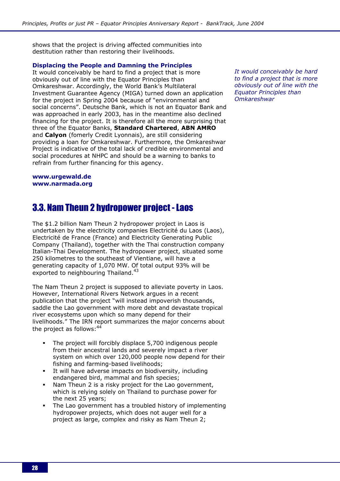shows that the project is driving affected communities into destitution rather than restoring their livelihoods.

#### Displacing the People and Damning the Principles

It would conceivably be hard to find a project that is more obviously out of line with the Equator Principles than Omkareshwar. Accordingly, the World Bank's Multilateral Investment Guarantee Agency (MIGA) turned down an application for the project in Spring 2004 because of "environmental and social concerns". Deutsche Bank, which is not an Equator Bank and was approached in early 2003, has in the meantime also declined financing for the project. It is therefore all the more surprising that three of the Equator Banks, Standard Chartered, ABN AMRO and Calyon (fomerly Credit Lyonnais), are still considering providing a loan for Omkareshwar. Furthermore, the Omkareshwar Project is indicative of the total lack of credible environmental and social procedures at NHPC and should be a warning to banks to refrain from further financing for this agency.

#### www.urgewald.de www.narmada.org

### 3.3. Nam Theun 2 hydropower project - Laos

The \$1.2 billion Nam Theun 2 hydropower project in Laos is undertaken by the electricity companies Electricité du Laos (Laos), Electricité de France (France) and Electricity Generating Public Company (Thailand), together with the Thai construction company Italian-Thai Development. The hydropower project, situated some 250 kilometres to the southeast of Vientiane, will have a generating capacity of 1,070 MW. Of total output 93% will be exported to neighbouring Thailand.<sup>43</sup>

The Nam Theun 2 project is supposed to alleviate poverty in Laos. However, International Rivers Network argues in a recent publication that the project "will instead impoverish thousands, saddle the Lao government with more debt and devastate tropical river ecosystems upon which so many depend for their livelihoods." The IRN report summarizes the major concerns about the project as follows:  $44$ 

- The project will forcibly displace 5,700 indigenous people from their ancestral lands and severely impact a river system on which over 120,000 people now depend for their fishing and farming-based livelihoods;
- It will have adverse impacts on biodiversity, including endangered bird, mammal and fish species;
- Nam Theun 2 is a risky project for the Lao government, which is relying solely on Thailand to purchase power for the next 25 years;
- The Lao government has a troubled history of implementing hydropower projects, which does not auger well for a project as large, complex and risky as Nam Theun 2;

It would conceivably be hard to find a project that is more obviously out of line with the Equator Principles than Omkareshwar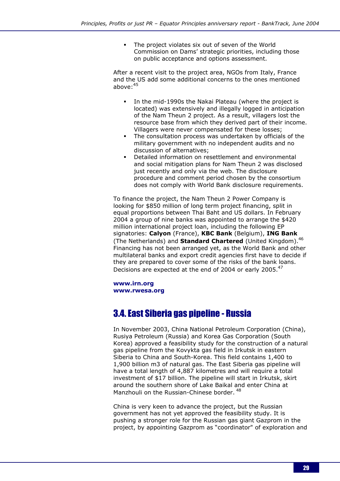The project violates six out of seven of the World Commission on Dams' strategic priorities, including those on public acceptance and options assessment.

After a recent visit to the project area, NGOs from Italy, France and the US add some additional concerns to the ones mentioned above: 45

- In the mid-1990s the Nakai Plateau (where the project is located) was extensively and illegally logged in anticipation of the Nam Theun 2 project. As a result, villagers lost the resource base from which they derived part of their income. Villagers were never compensated for these losses;
- The consultation process was undertaken by officials of the military government with no independent audits and no discussion of alternatives;
- Detailed information on resettlement and environmental and social mitigation plans for Nam Theun 2 was disclosed just recently and only via the web. The disclosure procedure and comment period chosen by the consortium does not comply with World Bank disclosure requirements.

To finance the project, the Nam Theun 2 Power Company is looking for \$850 million of long term project financing, split in equal proportions between Thai Baht and US dollars. In February 2004 a group of nine banks was appointed to arrange the \$420 million international project loan, including the following EP signatories: Calyon (France), KBC Bank (Belgium), ING Bank (The Netherlands) and Standard Chartered (United Kingdom).<sup>46</sup> Financing has not been arranged yet, as the World Bank and other multilateral banks and export credit agencies first have to decide if they are prepared to cover some of the risks of the bank loans. Decisions are expected at the end of 2004 or early 2005.<sup>47</sup>

www.irn.org www.rwesa.org

### 3.4. East Siberia gas pipeline - Russia

In November 2003, China National Petroleum Corporation (China), Rusiya Petroleum (Russia) and Korea Gas Corporation (South Korea) approved a feasibility study for the construction of a natural gas pipeline from the Kovykta gas field in Irkutsk in eastern Siberia to China and South-Korea. This field contains 1,400 to 1,900 billion m3 of natural gas. The East Siberia gas pipeline will have a total length of 4,887 kilometres and will require a total investment of \$17 billion. The pipeline will start in Irkutsk, skirt around the southern shore of Lake Baikal and enter China at Manzhouli on the Russian-Chinese border.<sup>48</sup>

China is very keen to advance the project, but the Russian government has not yet approved the feasibility study. It is pushing a stronger role for the Russian gas giant Gazprom in the project, by appointing Gazprom as "coordinator" of exploration and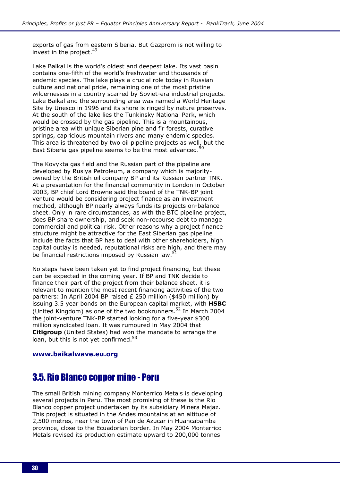exports of gas from eastern Siberia. But Gazprom is not willing to invest in the project.<sup>49</sup>

Lake Baikal is the world's oldest and deepest lake. Its vast basin contains one-fifth of the world's freshwater and thousands of endemic species. The lake plays a crucial role today in Russian culture and national pride, remaining one of the most pristine wildernesses in a country scarred by Soviet-era industrial projects. Lake Baikal and the surrounding area was named a World Heritage Site by Unesco in 1996 and its shore is ringed by nature preserves. At the south of the lake lies the Tunkinsky National Park, which would be crossed by the gas pipeline. This is a mountainous, pristine area with unique Siberian pine and fir forests, curative springs, capricious mountain rivers and many endemic species. This area is threatened by two oil pipeline projects as well, but the East Siberia gas pipeline seems to be the most advanced.<sup>50</sup>

The Kovykta gas field and the Russian part of the pipeline are developed by Rusiya Petroleum, a company which is majorityowned by the British oil company BP and its Russian partner TNK. At a presentation for the financial community in London in October 2003, BP chief Lord Browne said the board of the TNK-BP joint venture would be considering project finance as an investment method, although BP nearly always funds its projects on-balance sheet. Only in rare circumstances, as with the BTC pipeline project, does BP share ownership, and seek non-recourse debt to manage commercial and political risk. Other reasons why a project finance structure might be attractive for the East Siberian gas pipeline include the facts that BP has to deal with other shareholders, high capital outlay is needed, reputational risks are high, and there may be financial restrictions imposed by Russian law.<sup>51</sup>

No steps have been taken yet to find project financing, but these can be expected in the coming year. If BP and TNK decide to finance their part of the project from their balance sheet, it is relevant to mention the most recent financing activities of the two partners: In April 2004 BP raised £ 250 million (\$450 million) by issuing 3.5 year bonds on the European capital market, with **HSBC** (United Kingdom) as one of the two bookrunners.52 In March 2004 the joint-venture TNK-BP started looking for a five-year \$300 million syndicated loan. It was rumoured in May 2004 that Citigroup (United States) had won the mandate to arrange the loan, but this is not yet confirmed.<sup>53</sup>

#### www.baikalwave.eu.org

### 3.5. Rio Blanco copper mine - Peru

The small British mining company Monterrico Metals is developing several projects in Peru. The most promising of these is the Rio Blanco copper project undertaken by its subsidiary Minera Majaz. This project is situated in the Andes mountains at an altitude of 2,500 metres, near the town of Pan de Azucar in Huancabamba province, close to the Ecuadorian border. In May 2004 Monterrico Metals revised its production estimate upward to 200,000 tonnes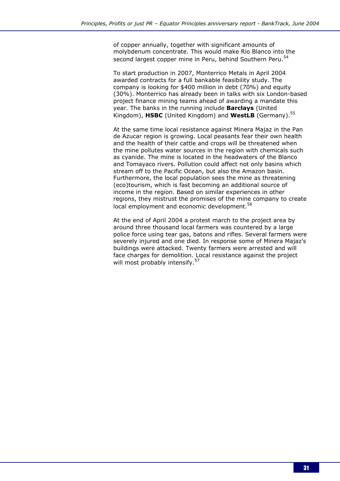of copper annually, together with significant amounts of molybdenum concentrate. This would make Rio Blanco into the second largest copper mine in Peru, behind Southern Peru.<sup>54</sup>

To start production in 2007, Monterrico Metals in April 2004 awarded contracts for a full bankable feasibility study. The company is looking for \$400 million in debt (70%) and equity (30%). Monterrico has already been in talks with six London-based project finance mining teams ahead of awarding a mandate this year. The banks in the running include **Barclays** (United Kingdom), HSBC (United Kingdom) and WestLB (Germanv).<sup>55</sup>

At the same time local resistance against Minera Majaz in the Pan de Azucar region is growing. Local peasants fear their own health and the health of their cattle and crops will be threatened when the mine pollutes water sources in the region with chemicals such as cyanide. The mine is located in the headwaters of the Blanco and Tomayaco rivers. Pollution could affect not only basins which stream off to the Pacific Ocean, but also the Amazon basin. Furthermore, the local population sees the mine as threatening (eco)tourism, which is fast becoming an additional source of income in the region. Based on similar experiences in other regions, they mistrust the promises of the mine company to create local employment and economic development.<sup>56</sup>

At the end of April 2004 a protest march to the project area by around three thousand local farmers was countered by a large police force using tear gas, batons and rifles. Several farmers were severely injured and one died. In response some of Minera Majaz's buildings were attacked. Twenty farmers were arrested and will face charges for demolition. Local resistance against the project will most probably intensify.<sup>57</sup>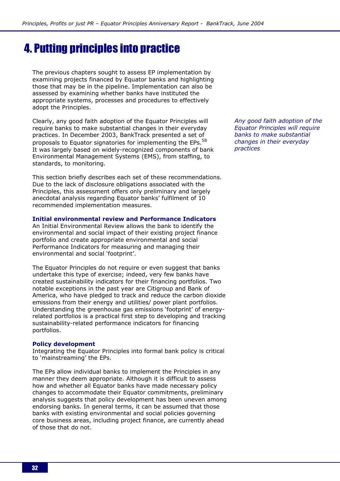# 4. Putting principles into practice

The previous chapters sought to assess EP implementation by examining projects financed by Equator banks and highlighting those that may be in the pipeline. Implementation can also be assessed by examining whether banks have instituted the appropriate systems, processes and procedures to effectively adopt the Principles.

Clearly, any good faith adoption of the Equator Principles will require banks to make substantial changes in their everyday practices. In December 2003, BankTrack presented a set of proposals to Equator signatories for implementing the EPs.<sup>58</sup> It was largely based on widely-recognized components of bank Environmental Management Systems (EMS), from staffing, to standards, to monitoring.

This section briefly describes each set of these recommendations. Due to the lack of disclosure obligations associated with the Principles, this assessment offers only preliminary and largely anecdotal analysis regarding Equator banks' fulfilment of 10 recommended implementation measures.

#### Initial environmental review and Performance Indicators

An Initial Environmental Review allows the bank to identify the environmental and social impact of their existing project finance portfolio and create appropriate environmental and social Performance Indicators for measuring and managing their environmental and social 'footprint'.

The Equator Principles do not require or even suggest that banks undertake this type of exercise; indeed, very few banks have created sustainability indicators for their financing portfolios. Two notable exceptions in the past year are Citigroup and Bank of America, who have pledged to track and reduce the carbon dioxide emissions from their energy and utilities/ power plant portfolios. Understanding the greenhouse gas emissions 'footprint' of energyrelated portfolios is a practical first step to developing and tracking sustainability-related performance indicators for financing portfolios.

#### Policy development

Integrating the Equator Principles into formal bank policy is critical to 'mainstreaming' the EPs.

The EPs allow individual banks to implement the Principles in any manner they deem appropriate. Although it is difficult to assess how and whether all Equator banks have made necessary policy changes to accommodate their Equator commitments, preliminary analysis suggests that policy development has been uneven among endorsing banks. In general terms, it can be assumed that those banks with existing environmental and social policies governing core business areas, including project finance, are currently ahead of those that do not.

Any good faith adoption of the Equator Principles will require banks to make substantial changes in their everyday practices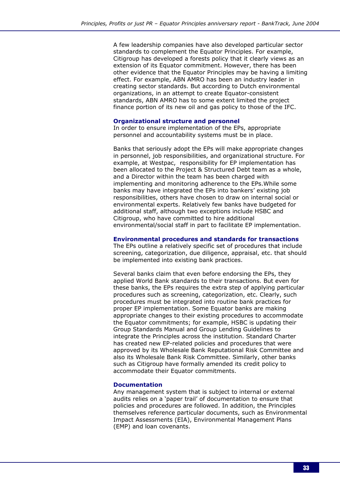A few leadership companies have also developed particular sector standards to complement the Equator Principles. For example, Citigroup has developed a forests policy that it clearly views as an extension of its Equator commitment. However, there has been other evidence that the Equator Principles may be having a limiting effect. For example, ABN AMRO has been an industry leader in creating sector standards. But according to Dutch environmental organizations, in an attempt to create Equator-consistent standards, ABN AMRO has to some extent limited the project finance portion of its new oil and gas policy to those of the IFC.

#### Organizational structure and personnel

In order to ensure implementation of the EPs, appropriate personnel and accountability systems must be in place.

Banks that seriously adopt the EPs will make appropriate changes in personnel, job responsibilities, and organizational structure. For example, at Westpac, responsibility for EP implementation has been allocated to the Project & Structured Debt team as a whole, and a Director within the team has been charged with implementing and monitoring adherence to the EPs.While some banks may have integrated the EPs into bankers' existing job responsibilities, others have chosen to draw on internal social or environmental experts. Relatively few banks have budgeted for additional staff, although two exceptions include HSBC and Citigroup, who have committed to hire additional environmental/social staff in part to facilitate EP implementation.

#### Environmental procedures and standards for transactions

The EPs outline a relatively specific set of procedures that include screening, categorization, due diligence, appraisal, etc. that should be implemented into existing bank practices.

Several banks claim that even before endorsing the EPs, they applied World Bank standards to their transactions. But even for these banks, the EPs requires the extra step of applying particular procedures such as screening, categorization, etc. Clearly, such procedures must be integrated into routine bank practices for proper EP implementation. Some Equator banks are making appropriate changes to their existing procedures to accommodate the Equator commitments; for example, HSBC is updating their Group Standards Manual and Group Lending Guidelines to integrate the Principles across the institution. Standard Charter has created new EP-related policies and procedures that were approved by its Wholesale Bank Reputational Risk Committee and also its Wholesale Bank Risk Committee. Similarly, other banks such as Citigroup have formally amended its credit policy to accommodate their Equator commitments.

#### Documentation

Any management system that is subject to internal or external audits relies on a 'paper trail' of documentation to ensure that policies and procedures are followed. In addition, the Principles themselves reference particular documents, such as Environmental Impact Assessments (EIA), Environmental Management Plans (EMP) and loan covenants.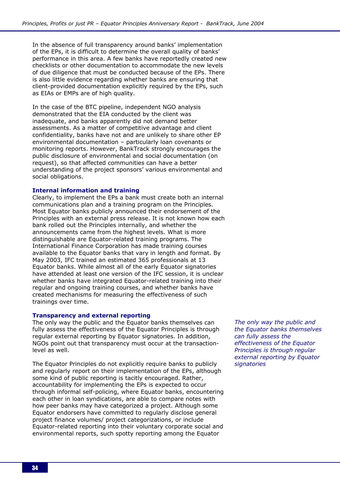In the absence of full transparency around banks' implementation of the EPs, it is difficult to determine the overall quality of banks' performance in this area. A few banks have reportedly created new checklists or other documentation to accommodate the new levels of due diligence that must be conducted because of the EPs. There is also little evidence regarding whether banks are ensuring that client-provided documentation explicitly required by the EPs, such as EIAs or EMPs are of high quality.

In the case of the BTC pipeline, independent NGO analysis demonstrated that the EIA conducted by the client was inadequate, and banks apparently did not demand better assessments. As a matter of competitive advantage and client confidentiality, banks have not and are unlikely to share other EP environmental documentation – particularly loan covenants or monitoring reports. However, BankTrack strongly encourages the public disclosure of environmental and social documentation (on request), so that affected communities can have a better understanding of the project sponsors' various environmental and social obligations.

#### Internal information and training

Clearly, to implement the EPs a bank must create both an internal communications plan and a training program on the Principles. Most Equator banks publicly announced their endorsement of the Principles with an external press release. It is not known how each bank rolled out the Principles internally, and whether the announcements came from the highest levels. What is more distinguishable are Equator-related training programs. The International Finance Corporation has made training courses available to the Equator banks that vary in length and format. By May 2003, IFC trained an estimated 365 professionals at 13 Equator banks. While almost all of the early Equator signatories have attended at least one version of the IFC session, it is unclear whether banks have integrated Equator-related training into their regular and ongoing training courses, and whether banks have created mechanisms for measuring the effectiveness of such trainings over time.

#### Transparency and external reporting

The only way the public and the Equator banks themselves can fully assess the effectiveness of the Equator Principles is through regular external reporting by Equator signatories. In addition, NGOs point out that transparency must occur at the transactionlevel as well.

The Equator Principles do not explicitly require banks to publicly and regularly report on their implementation of the EPs, although some kind of public reporting is tacitly encouraged. Rather, accountability for implementing the EPs is expected to occur through informal self-policing, where Equator banks, encountering each other in loan syndications, are able to compare notes with how peer banks may have categorized a project. Although some Equator endorsers have committed to regularly disclose general project finance volumes/ project categorizations, or include Equator-related reporting into their voluntary corporate social and environmental reports, such spotty reporting among the Equator

The only way the public and the Equator banks themselves can fully assess the effectiveness of the Equator Principles is through regular external reporting by Equator signatories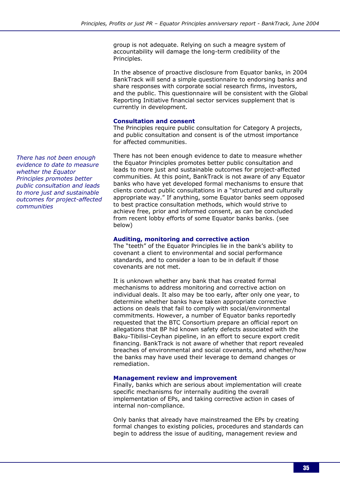group is not adequate. Relying on such a meagre system of accountability will damage the long-term credibility of the Principles.

In the absence of proactive disclosure from Equator banks, in 2004 BankTrack will send a simple questionnaire to endorsing banks and share responses with corporate social research firms, investors, and the public. This questionnaire will be consistent with the Global Reporting Initiative financial sector services supplement that is currently in development.

#### Consultation and consent

The Principles require public consultation for Category A projects, and public consultation and consent is of the utmost importance for affected communities.

There has not been enough evidence to date to measure whether the Equator Principles promotes better public consultation and leads to more just and sustainable outcomes for project-affected communities. At this point, BankTrack is not aware of any Equator banks who have yet developed formal mechanisms to ensure that clients conduct public consultations in a "structured and culturally appropriate way." If anything, some Equator banks seem opposed to best practice consultation methods, which would strive to achieve free, prior and informed consent, as can be concluded from recent lobby efforts of some Equator banks banks. (see below)

#### Auditing, monitoring and corrective action

The "teeth" of the Equator Principles lie in the bank's ability to covenant a client to environmental and social performance standards, and to consider a loan to be in default if those covenants are not met.

It is unknown whether any bank that has created formal mechanisms to address monitoring and corrective action on individual deals. It also may be too early, after only one year, to determine whether banks have taken appropriate corrective actions on deals that fail to comply with social/environmental commitments. However, a number of Equator banks reportedly requested that the BTC Consortium prepare an official report on allegations that BP hid known safety defects associated with the Baku-Tibilisi-Ceyhan pipeline, in an effort to secure export credit financing. BankTrack is not aware of whether that report revealed breaches of environmental and social covenants, and whether/how the banks may have used their leverage to demand changes or remediation.

#### Management review and improvement

Finally, banks which are serious about implementation will create specific mechanisms for internally auditing the overall implementation of EPs, and taking corrective action in cases of internal non-compliance.

Only banks that already have mainstreamed the EPs by creating formal changes to existing policies, procedures and standards can begin to address the issue of auditing, management review and

There has not been enough evidence to date to measure whether the Equator Principles promotes better public consultation and leads to more just and sustainable outcomes for project-affected communities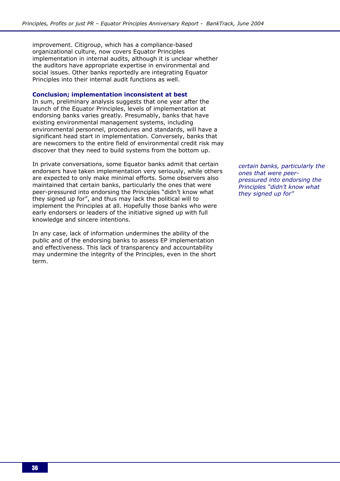improvement. Citigroup, which has a compliance-based organizational culture, now covers Equator Principles implementation in internal audits, although it is unclear whether the auditors have appropriate expertise in environmental and social issues. Other banks reportedly are integrating Equator Principles into their internal audit functions as well.

#### Conclusion; implementation inconsistent at best

In sum, preliminary analysis suggests that one year after the launch of the Equator Principles, levels of implementation at endorsing banks varies greatly. Presumably, banks that have existing environmental management systems, including environmental personnel, procedures and standards, will have a significant head start in implementation. Conversely, banks that are newcomers to the entire field of environmental credit risk may discover that they need to build systems from the bottom up.

In private conversations, some Equator banks admit that certain endorsers have taken implementation very seriously, while others are expected to only make minimal efforts. Some observers also maintained that certain banks, particularly the ones that were peer-pressured into endorsing the Principles "didn't know what they signed up for", and thus may lack the political will to implement the Principles at all. Hopefully those banks who were early endorsers or leaders of the initiative signed up with full knowledge and sincere intentions.

In any case, lack of information undermines the ability of the public and of the endorsing banks to assess EP implementation and effectiveness. This lack of transparency and accountability may undermine the integrity of the Principles, even in the short term.

certain banks, particularly the ones that were peerpressured into endorsing the Principles "didn't know what they signed up for"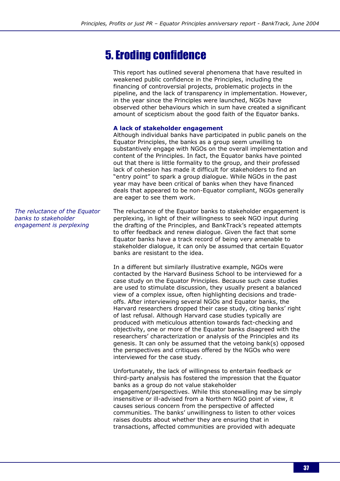# 5. Eroding confidence

This report has outlined several phenomena that have resulted in weakened public confidence in the Principles, including the financing of controversial projects, problematic projects in the pipeline, and the lack of transparency in implementation. However, in the year since the Principles were launched, NGOs have observed other behaviours which in sum have created a significant amount of scepticism about the good faith of the Equator banks.

#### A lack of stakeholder engagement

Although individual banks have participated in public panels on the Equator Principles, the banks as a group seem unwilling to substantively engage with NGOs on the overall implementation and content of the Principles. In fact, the Equator banks have pointed out that there is little formality to the group, and their professed lack of cohesion has made it difficult for stakeholders to find an "entry point" to spark a group dialogue. While NGOs in the past year may have been critical of banks when they have financed deals that appeared to be non-Equator compliant, NGOs generally are eager to see them work.

The reluctance of the Equator banks to stakeholder engagement is perplexing, in light of their willingness to seek NGO input during the drafting of the Principles, and BankTrack's repeated attempts to offer feedback and renew dialogue. Given the fact that some Equator banks have a track record of being very amenable to stakeholder dialogue, it can only be assumed that certain Equator banks are resistant to the idea.

In a different but similarly illustrative example, NGOs were contacted by the Harvard Business School to be interviewed for a case study on the Equator Principles. Because such case studies are used to stimulate discussion, they usually present a balanced view of a complex issue, often highlighting decisions and tradeoffs. After interviewing several NGOs and Equator banks, the Harvard researchers dropped their case study, citing banks' right of last refusal. Although Harvard case studies typically are produced with meticulous attention towards fact-checking and objectivity, one or more of the Equator banks disagreed with the researchers' characterization or analysis of the Principles and its genesis. It can only be assumed that the vetoing bank(s) opposed the perspectives and critiques offered by the NGOs who were interviewed for the case study.

Unfortunately, the lack of willingness to entertain feedback or third-party analysis has fostered the impression that the Equator banks as a group do not value stakeholder engagement/perspectives. While this stonewalling may be simply insensitive or ill-advised from a Northern NGO point of view, it causes serious concern from the perspective of affected communities. The banks' unwillingness to listen to other voices raises doubts about whether they are ensuring that in transactions, affected communities are provided with adequate

The reluctance of the Equator banks to stakeholder engagement is perplexing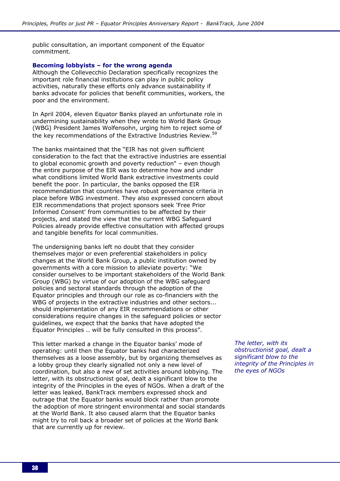public consultation, an important component of the Equator commitment.

#### Becoming lobbyists – for the wrong agenda

Although the Collevecchio Declaration specifically recognizes the important role financial institutions can play in public policy activities, naturally these efforts only advance sustainability if banks advocate for policies that benefit communities, workers, the poor and the environment.

In April 2004, eleven Equator Banks played an unfortunate role in undermining sustainability when they wrote to World Bank Group (WBG) President James Wolfensohn, urging him to reject some of the key recommendations of the Extractive Industries Review.<sup>59</sup>

The banks maintained that the "EIR has not given sufficient consideration to the fact that the extractive industries are essential to global economic growth and poverty reduction" – even though the entire purpose of the EIR was to determine how and under what conditions limited World Bank extractive investments could benefit the poor. In particular, the banks opposed the EIR recommendation that countries have robust governance criteria in place before WBG investment. They also expressed concern about EIR recommendations that project sponsors seek 'Free Prior Informed Consent' from communities to be affected by their projects, and stated the view that the current WBG Safeguard Policies already provide effective consultation with affected groups and tangible benefits for local communities.

The undersigning banks left no doubt that they consider themselves major or even preferential stakeholders in policy changes at the World Bank Group, a public institution owned by governments with a core mission to alleviate poverty: "We consider ourselves to be important stakeholders of the World Bank Group (WBG) by virtue of our adoption of the WBG safeguard policies and sectoral standards through the adoption of the Equator principles and through our role as co-financiers with the WBG of projects in the extractive industries and other sectors... should implementation of any EIR recommendations or other considerations require changes in the safeguard policies or sector guidelines, we expect that the banks that have adopted the Equator Principles .. will be fully consulted in this process".

This letter marked a change in the Equator banks' mode of operating: until then the Equator banks had characterized themselves as a loose assembly, but by organizing themselves as a lobby group they clearly signalled not only a new level of coordination, but also a new of set activities around lobbying. The letter, with its obstructionist goal, dealt a significant blow to the integrity of the Principles in the eyes of NGOs. When a draft of the letter was leaked, BankTrack members expressed shock and outrage that the Equator banks would block rather than promote the adoption of more stringent environmental and social standards at the World Bank. It also caused alarm that the Equator banks might try to roll back a broader set of policies at the World Bank that are currently up for review.

The letter, with its obstructionist goal, dealt a significant blow to the integrity of the Principles in the eyes of NGOs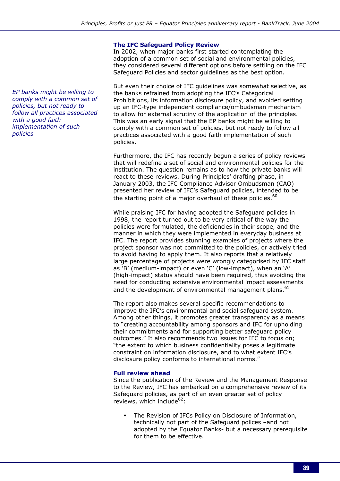#### The IFC Safeguard Policy Review

In 2002, when major banks first started contemplating the adoption of a common set of social and environmental policies, they considered several different options before settling on the IFC Safeguard Policies and sector guidelines as the best option.

But even their choice of IFC guidelines was somewhat selective, as the banks refrained from adopting the IFC's Categorical Prohibitions, its information disclosure policy, and avoided setting up an IFC-type independent compliance/ombudsman mechanism to allow for external scrutiny of the application of the principles. This was an early signal that the EP banks might be willing to comply with a common set of policies, but not ready to follow all practices associated with a good faith implementation of such policies.

Furthermore, the IFC has recently begun a series of policy reviews that will redefine a set of social and environmental policies for the institution. The question remains as to how the private banks will react to these reviews. During Principles' drafting phase, in January 2003, the IFC Compliance Advisor Ombudsman (CAO) presented her review of IFC's Safeguard policies, intended to be the starting point of a major overhaul of these policies.  $^{60}$ 

While praising IFC for having adopted the Safeguard policies in 1998, the report turned out to be very critical of the way the policies were formulated, the deficiencies in their scope, and the manner in which they were implemented in everyday business at IFC. The report provides stunning examples of projects where the project sponsor was not committed to the policies, or actively tried to avoid having to apply them. It also reports that a relatively large percentage of projects were wrongly categorised by IFC staff as 'B' (medium-impact) or even 'C' (low-impact), when an 'A' (high-impact) status should have been required, thus avoiding the need for conducting extensive environmental impact assessments and the development of environmental management plans.<sup>61</sup>

The report also makes several specific recommendations to improve the IFC's environmental and social safeguard system. Among other things, it promotes greater transparency as a means to "creating accountability among sponsors and IFC for upholding their commitments and for supporting better safeguard policy outcomes." It also recommends two issues for IFC to focus on; "the extent to which business confidentiality poses a legitimate constraint on information disclosure, and to what extent IFC's disclosure policy conforms to international norms."

#### Full review ahead

Since the publication of the Review and the Management Response to the Review, IFC has embarked on a comprehensive review of its Safeguard policies, as part of an even greater set of policy reviews, which include  $62$ :

 The Revision of IFCs Policy on Disclosure of Information, technically not part of the Safeguard polices –and not adopted by the Equator Banks- but a necessary prerequisite for them to be effective.

EP banks might be willing to comply with a common set of policies, but not ready to follow all practices associated with a good faith implementation of such policies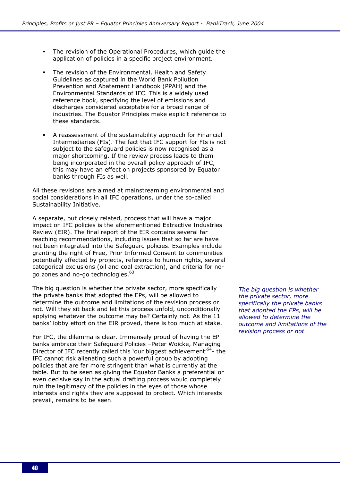- **The revision of the Operational Procedures, which guide the** application of policies in a specific project environment.
- The revision of the Environmental, Health and Safety Guidelines as captured in the World Bank Pollution Prevention and Abatement Handbook (PPAH) and the Environmental Standards of IFC. This is a widely used reference book, specifying the level of emissions and discharges considered acceptable for a broad range of industries. The Equator Principles make explicit reference to these standards.
- A reassessment of the sustainability approach for Financial Intermediaries (FIs). The fact that IFC support for FIs is not subject to the safeguard policies is now recognised as a major shortcoming. If the review process leads to them being incorporated in the overall policy approach of IFC, this may have an effect on projects sponsored by Equator banks through FIs as well.

All these revisions are aimed at mainstreaming environmental and social considerations in all IFC operations, under the so-called Sustainability Initiative.

A separate, but closely related, process that will have a major impact on IFC policies is the aforementioned Extractive Industries Review (EIR). The final report of the EIR contains several far reaching recommendations, including issues that so far are have not been integrated into the Safeguard policies. Examples include granting the right of Free, Prior Informed Consent to communities potentially affected by projects, reference to human rights, several categorical exclusions (oil and coal extraction), and criteria for nogo zones and no-go technologies.<sup>63</sup>

The big question is whether the private sector, more specifically the private banks that adopted the EPs, will be allowed to determine the outcome and limitations of the revision process or not. Will they sit back and let this process unfold, unconditionally applying whatever the outcome may be? Certainly not. As the 11 banks' lobby effort on the EIR proved, there is too much at stake.

For IFC, the dilemma is clear. Immensely proud of having the EP banks embrace their Safeguard Policies –Peter Woicke, Managing Director of IFC recently called this 'our biggest achievement<sup>164</sup>- the IFC cannot risk alienating such a powerful group by adopting policies that are far more stringent than what is currently at the table. But to be seen as giving the Equator Banks a preferential or even decisive say in the actual drafting process would completely ruin the legitimacy of the policies in the eyes of those whose interests and rights they are supposed to protect. Which interests prevail, remains to be seen.

The big question is whether the private sector, more specifically the private banks that adopted the EPs, will be allowed to determine the outcome and limitations of the revision process or not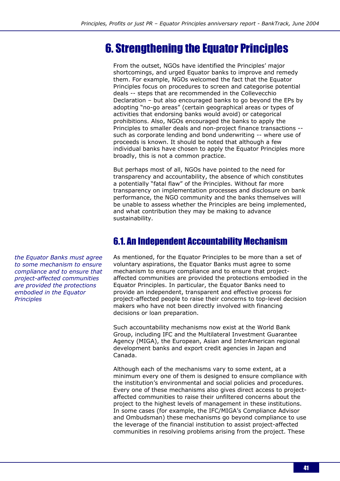# 6. Strengthening the Equator Principles

From the outset, NGOs have identified the Principles' major shortcomings, and urged Equator banks to improve and remedy them. For example, NGOs welcomed the fact that the Equator Principles focus on procedures to screen and categorise potential deals -- steps that are recommended in the Collevecchio Declaration – but also encouraged banks to go beyond the EPs by adopting "no-go areas" (certain geographical areas or types of activities that endorsing banks would avoid) or categorical prohibitions. Also, NGOs encouraged the banks to apply the Principles to smaller deals and non-project finance transactions - such as corporate lending and bond underwriting -- where use of proceeds is known. It should be noted that although a few individual banks have chosen to apply the Equator Principles more broadly, this is not a common practice.

But perhaps most of all, NGOs have pointed to the need for transparency and accountability, the absence of which constitutes a potentially "fatal flaw" of the Principles. Without far more transparency on implementation processes and disclosure on bank performance, the NGO community and the banks themselves will be unable to assess whether the Principles are being implemented, and what contribution they may be making to advance sustainability.

### 6.1. An Independent Accountability Mechanism

As mentioned, for the Equator Principles to be more than a set of voluntary aspirations, the Equator Banks must agree to some mechanism to ensure compliance and to ensure that projectaffected communities are provided the protections embodied in the Equator Principles. In particular, the Equator Banks need to provide an independent, transparent and effective process for project-affected people to raise their concerns to top-level decision makers who have not been directly involved with financing decisions or loan preparation.

Such accountability mechanisms now exist at the World Bank Group, including IFC and the Multilateral Investment Guarantee Agency (MIGA), the European, Asian and InterAmerican regional development banks and export credit agencies in Japan and Canada.

Although each of the mechanisms vary to some extent, at a minimum every one of them is designed to ensure compliance with the institution's environmental and social policies and procedures. Every one of these mechanisms also gives direct access to projectaffected communities to raise their unfiltered concerns about the project to the highest levels of management in these institutions. In some cases (for example, the IFC/MIGA's Compliance Advisor and Ombudsman) these mechanisms go beyond compliance to use the leverage of the financial institution to assist project-affected communities in resolving problems arising from the project. These

the Equator Banks must agree to some mechanism to ensure compliance and to ensure that project-affected communities are provided the protections embodied in the Equator **Principles**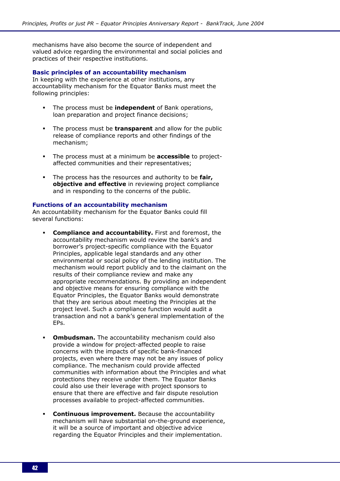mechanisms have also become the source of independent and valued advice regarding the environmental and social policies and practices of their respective institutions.

#### Basic principles of an accountability mechanism

In keeping with the experience at other institutions, any accountability mechanism for the Equator Banks must meet the following principles:

- The process must be independent of Bank operations, loan preparation and project finance decisions;
- The process must be **transparent** and allow for the public release of compliance reports and other findings of the mechanism;
- The process must at a minimum be **accessible** to projectaffected communities and their representatives;
- The process has the resources and authority to be fair, objective and effective in reviewing project compliance and in responding to the concerns of the public.

#### Functions of an accountability mechanism

An accountability mechanism for the Equator Banks could fill several functions:

- **Compliance and accountability.** First and foremost, the accountability mechanism would review the bank's and borrower's project-specific compliance with the Equator Principles, applicable legal standards and any other environmental or social policy of the lending institution. The mechanism would report publicly and to the claimant on the results of their compliance review and make any appropriate recommendations. By providing an independent and objective means for ensuring compliance with the Equator Principles, the Equator Banks would demonstrate that they are serious about meeting the Principles at the project level. Such a compliance function would audit a transaction and not a bank's general implementation of the EPs.
- Ombudsman. The accountability mechanism could also provide a window for project-affected people to raise concerns with the impacts of specific bank-financed projects, even where there may not be any issues of policy compliance. The mechanism could provide affected communities with information about the Principles and what protections they receive under them. The Equator Banks could also use their leverage with project sponsors to ensure that there are effective and fair dispute resolution processes available to project-affected communities.
- Continuous improvement. Because the accountability mechanism will have substantial on-the-ground experience, it will be a source of important and objective advice regarding the Equator Principles and their implementation.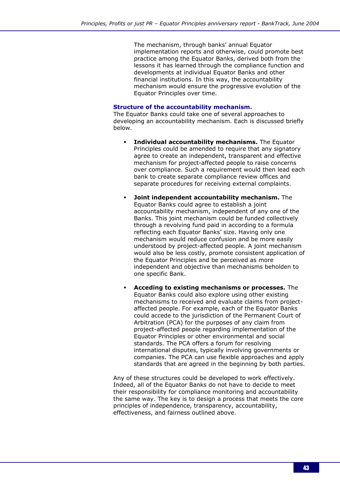The mechanism, through banks' annual Equator implementation reports and otherwise, could promote best practice among the Equator Banks, derived both from the lessons it has learned through the compliance function and developments at individual Equator Banks and other financial institutions. In this way, the accountability mechanism would ensure the progressive evolution of the Equator Principles over time.

#### Structure of the accountability mechanism.

The Equator Banks could take one of several approaches to developing an accountability mechanism. Each is discussed briefly below.

- **Individual accountability mechanisms.** The Equator Principles could be amended to require that any signatory agree to create an independent, transparent and effective mechanism for project-affected people to raise concerns over compliance. Such a requirement would then lead each bank to create separate compliance review offices and separate procedures for receiving external complaints.
- **Joint independent accountability mechanism.** The Equator Banks could agree to establish a joint accountability mechanism, independent of any one of the Banks. This joint mechanism could be funded collectively through a revolving fund paid in according to a formula reflecting each Equator Banks' size. Having only one mechanism would reduce confusion and be more easily understood by project-affected people. A joint mechanism would also be less costly, promote consistent application of the Equator Principles and be perceived as more independent and objective than mechanisms beholden to one specific Bank.
- Acceding to existing mechanisms or processes. The Equator Banks could also explore using other existing mechanisms to received and evaluate claims from projectaffected people. For example, each of the Equator Banks could accede to the jurisdiction of the Permanent Court of Arbitration (PCA) for the purposes of any claim from project-affected people regarding implementation of the Equator Principles or other environmental and social standards. The PCA offers a forum for resolving international disputes, typically involving governments or companies. The PCA can use flexible approaches and apply standards that are agreed in the beginning by both parties.

Any of these structures could be developed to work effectively. Indeed, all of the Equator Banks do not have to decide to meet their responsibility for compliance monitoring and accountability the same way. The key is to design a process that meets the core principles of independence, transparency, accountability, effectiveness, and fairness outlined above.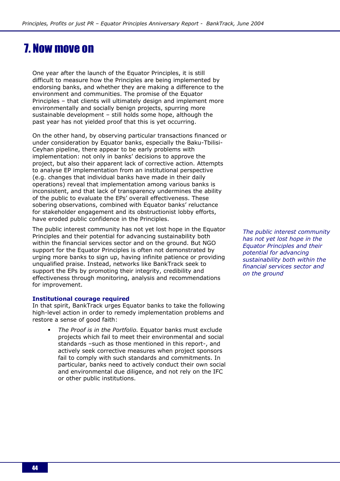# 7. Now move on

One year after the launch of the Equator Principles, it is still difficult to measure how the Principles are being implemented by endorsing banks, and whether they are making a difference to the environment and communities. The promise of the Equator Principles – that clients will ultimately design and implement more environmentally and socially benign projects, spurring more sustainable development – still holds some hope, although the past year has not yielded proof that this is yet occurring.

On the other hand, by observing particular transactions financed or under consideration by Equator banks, especially the Baku-Tbilisi-Ceyhan pipeline, there appear to be early problems with implementation: not only in banks' decisions to approve the project, but also their apparent lack of corrective action. Attempts to analyse EP implementation from an institutional perspective (e.g. changes that individual banks have made in their daily operations) reveal that implementation among various banks is inconsistent, and that lack of transparency undermines the ability of the public to evaluate the EPs' overall effectiveness. These sobering observations, combined with Equator banks' reluctance for stakeholder engagement and its obstructionist lobby efforts, have eroded public confidence in the Principles.

The public interest community has not yet lost hope in the Equator Principles and their potential for advancing sustainability both within the financial services sector and on the ground. But NGO support for the Equator Principles is often not demonstrated by urging more banks to sign up, having infinite patience or providing unqualified praise. Instead, networks like BankTrack seek to support the EPs by promoting their integrity, credibility and effectiveness through monitoring, analysis and recommendations for improvement.

#### Institutional courage required

In that spirit, BankTrack urges Equator banks to take the following high-level action in order to remedy implementation problems and restore a sense of good faith:

 The Proof is in the Portfolio. Equator banks must exclude projects which fail to meet their environmental and social standards –such as those mentioned in this report-, and actively seek corrective measures when project sponsors fail to comply with such standards and commitments. In particular, banks need to actively conduct their own social and environmental due diligence, and not rely on the IFC or other public institutions.

The public interest community has not yet lost hope in the Equator Principles and their potential for advancing sustainability both within the financial services sector and on the ground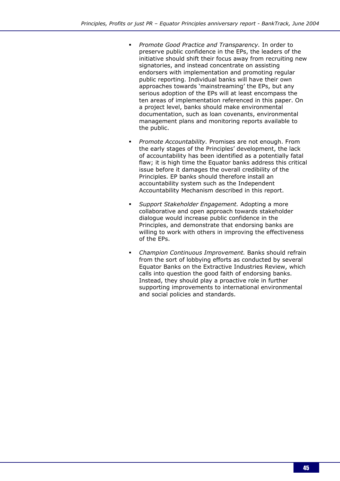- **Promote Good Practice and Transparency. In order to** preserve public confidence in the EPs, the leaders of the initiative should shift their focus away from recruiting new signatories, and instead concentrate on assisting endorsers with implementation and promoting regular public reporting. Individual banks will have their own approaches towards 'mainstreaming' the EPs, but any serious adoption of the EPs will at least encompass the ten areas of implementation referenced in this paper. On a project level, banks should make environmental documentation, such as loan covenants, environmental management plans and monitoring reports available to the public.
- Promote Accountability. Promises are not enough. From the early stages of the Principles' development, the lack of accountability has been identified as a potentially fatal flaw; it is high time the Equator banks address this critical issue before it damages the overall credibility of the Principles. EP banks should therefore install an accountability system such as the Independent Accountability Mechanism described in this report.
- Support Stakeholder Engagement. Adopting a more collaborative and open approach towards stakeholder dialogue would increase public confidence in the Principles, and demonstrate that endorsing banks are willing to work with others in improving the effectiveness of the EPs.
- Champion Continuous Improvement. Banks should refrain from the sort of lobbying efforts as conducted by several Equator Banks on the Extractive Industries Review, which calls into question the good faith of endorsing banks. Instead, they should play a proactive role in further supporting improvements to international environmental and social policies and standards.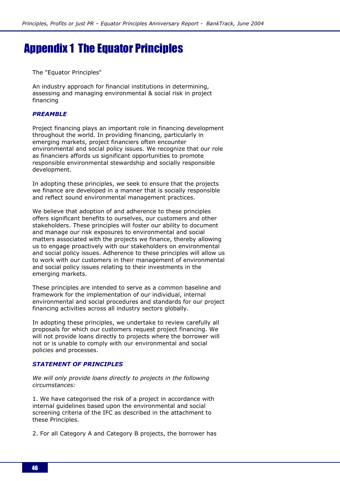# Appendix 1 The Equator Principles

The "Equator Principles"

An industry approach for financial institutions in determining, assessing and managing environmental & social risk in project financing

#### PREAMBLE

Project financing plays an important role in financing development throughout the world. In providing financing, particularly in emerging markets, project financiers often encounter environmental and social policy issues. We recognize that our role as financiers affords us significant opportunities to promote responsible environmental stewardship and socially responsible development.

In adopting these principles, we seek to ensure that the projects we finance are developed in a manner that is socially responsible and reflect sound environmental management practices.

We believe that adoption of and adherence to these principles offers significant benefits to ourselves, our customers and other stakeholders. These principles will foster our ability to document and manage our risk exposures to environmental and social matters associated with the projects we finance, thereby allowing us to engage proactively with our stakeholders on environmental and social policy issues. Adherence to these principles will allow us to work with our customers in their management of environmental and social policy issues relating to their investments in the emerging markets.

These principles are intended to serve as a common baseline and framework for the implementation of our individual, internal environmental and social procedures and standards for our project financing activities across all industry sectors globally.

In adopting these principles, we undertake to review carefully all proposals for which our customers request project financing. We will not provide loans directly to projects where the borrower will not or is unable to comply with our environmental and social policies and processes.

#### STATEMENT OF PRINCIPLES

We will only provide loans directly to projects in the following circumstances:

1. We have categorised the risk of a project in accordance with internal guidelines based upon the environmental and social screening criteria of the IFC as described in the attachment to these Principles.

2. For all Category A and Category B projects, the borrower has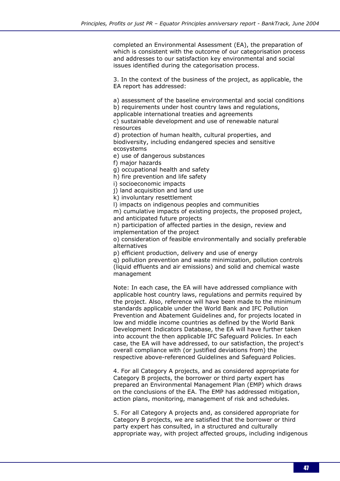completed an Environmental Assessment (EA), the preparation of which is consistent with the outcome of our categorisation process and addresses to our satisfaction key environmental and social issues identified during the categorisation process.

3. In the context of the business of the project, as applicable, the EA report has addressed:

a) assessment of the baseline environmental and social conditions b) requirements under host country laws and regulations,

applicable international treaties and agreements

c) sustainable development and use of renewable natural resources

d) protection of human health, cultural properties, and biodiversity, including endangered species and sensitive ecosystems

e) use of dangerous substances

f) major hazards

g) occupational health and safety

h) fire prevention and life safety

i) socioeconomic impacts

j) land acquisition and land use

k) involuntary resettlement

l) impacts on indigenous peoples and communities

m) cumulative impacts of existing projects, the proposed project, and anticipated future projects

n) participation of affected parties in the design, review and implementation of the project

o) consideration of feasible environmentally and socially preferable alternatives

p) efficient production, delivery and use of energy

q) pollution prevention and waste minimization, pollution controls (liquid effluents and air emissions) and solid and chemical waste management

Note: In each case, the EA will have addressed compliance with applicable host country laws, regulations and permits required by the project. Also, reference will have been made to the minimum standards applicable under the World Bank and IFC Pollution Prevention and Abatement Guidelines and, for projects located in low and middle income countries as defined by the World Bank Development Indicators Database, the EA will have further taken into account the then applicable IFC Safeguard Policies. In each case, the EA will have addressed, to our satisfaction, the project's overall compliance with (or justified deviations from) the respective above-referenced Guidelines and Safeguard Policies.

4. For all Category A projects, and as considered appropriate for Category B projects, the borrower or third party expert has prepared an Environmental Management Plan (EMP) which draws on the conclusions of the EA. The EMP has addressed mitigation, action plans, monitoring, management of risk and schedules.

5. For all Category A projects and, as considered appropriate for Category B projects, we are satisfied that the borrower or third party expert has consulted, in a structured and culturally appropriate way, with project affected groups, including indigenous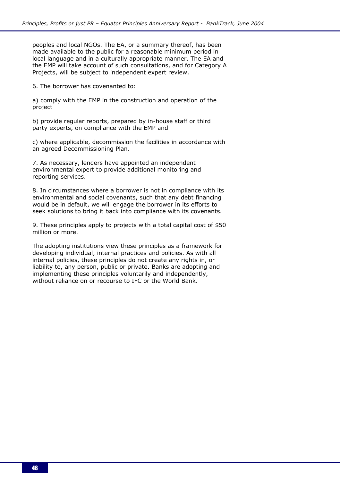peoples and local NGOs. The EA, or a summary thereof, has been made available to the public for a reasonable minimum period in local language and in a culturally appropriate manner. The EA and the EMP will take account of such consultations, and for Category A Projects, will be subject to independent expert review.

6. The borrower has covenanted to:

a) comply with the EMP in the construction and operation of the project

b) provide regular reports, prepared by in-house staff or third party experts, on compliance with the EMP and

c) where applicable, decommission the facilities in accordance with an agreed Decommissioning Plan.

7. As necessary, lenders have appointed an independent environmental expert to provide additional monitoring and reporting services.

8. In circumstances where a borrower is not in compliance with its environmental and social covenants, such that any debt financing would be in default, we will engage the borrower in its efforts to seek solutions to bring it back into compliance with its covenants.

9. These principles apply to projects with a total capital cost of \$50 million or more.

The adopting institutions view these principles as a framework for developing individual, internal practices and policies. As with all internal policies, these principles do not create any rights in, or liability to, any person, public or private. Banks are adopting and implementing these principles voluntarily and independently, without reliance on or recourse to IFC or the World Bank.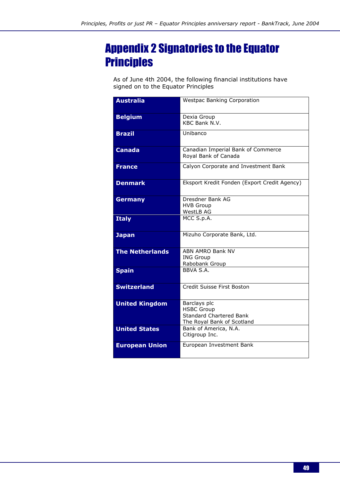# Appendix 2 Signatories to the Equator Principles

As of June 4th 2004, the following financial institutions have signed on to the Equator Principles

| <b>Australia</b>       | <b>Westpac Banking Corporation</b>                                                                |
|------------------------|---------------------------------------------------------------------------------------------------|
| <b>Belgium</b>         | Dexia Group<br>KBC Bank N.V.                                                                      |
| <b>Brazil</b>          | Unibanco                                                                                          |
| <b>Canada</b>          | Canadian Imperial Bank of Commerce<br>Royal Bank of Canada                                        |
| <b>France</b>          | Calyon Corporate and Investment Bank                                                              |
| <b>Denmark</b>         | Eksport Kredit Fonden (Export Credit Agency)                                                      |
| <b>Germany</b>         | Dresdner Bank AG<br><b>HVB Group</b><br>WestLB AG                                                 |
| <b>Italy</b>           | MCC S.p.A.                                                                                        |
| <b>Japan</b>           | Mizuho Corporate Bank, Ltd.                                                                       |
| <b>The Netherlands</b> | <b>ABN AMRO Bank NV</b><br><b>ING Group</b><br>Rabobank Group                                     |
| <b>Spain</b>           | BBVA S.A.                                                                                         |
| <b>Switzerland</b>     | Credit Suisse First Boston                                                                        |
| <b>United Kingdom</b>  | Barclays plc<br><b>HSBC Group</b><br><b>Standard Chartered Bank</b><br>The Royal Bank of Scotland |
| <b>United States</b>   | Bank of America, N.A.<br>Citigroup Inc.                                                           |
| <b>European Union</b>  | European Investment Bank                                                                          |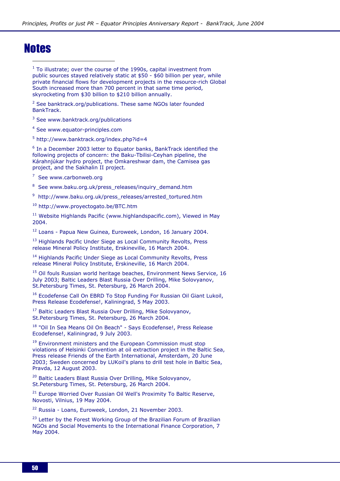# **Notes**

 $<sup>1</sup>$  To illustrate; over the course of the 1990s, capital investment from</sup> public sources stayed relatively static at \$50 - \$60 billion per year, while private financial flows for development projects in the resource-rich Global South increased more than 700 percent in that same time period, skyrocketing from \$30 billion to \$210 billion annually.

<sup>2</sup> See banktrack.org/publications. These same NGOs later founded BankTrack.

<sup>3</sup> See www.banktrack.org/publications

4 See www.equator-principles.com

5 http://www.banktrack.org/index.php?id=4

<sup>6</sup> In a December 2003 letter to Equator banks, BankTrack identified the following projects of concern: the Baku-Tbilisi-Ceyhan pipeline, the Kárahnjúkar hydro project, the Omkareshwar dam, the Camisea gas project, and the Sakhalin II project.

 $7$  See www.carbonweb.org

<sup>8</sup> See www.baku.org.uk/press\_releases/inquiry\_demand.htm

<sup>9</sup> http://www.baku.org.uk/press\_releases/arrested\_tortured.htm

<sup>10</sup> http://www.proyectogato.be/BTC.htm

<sup>11</sup> Website Highlands Pacific (www.highlandspacific.com), Viewed in May 2004.

<sup>12</sup> Loans - Papua New Guinea, Euroweek, London, 16 January 2004.

<sup>13</sup> Highlands Pacific Under Siege as Local Community Revolts, Press release Mineral Policy Institute, Erskineville, 16 March 2004.

<sup>14</sup> Highlands Pacific Under Siege as Local Community Revolts, Press release Mineral Policy Institute, Erskineville, 16 March 2004.

<sup>15</sup> Oil fouls Russian world heritage beaches, Environment News Service, 16 July 2003; Baltic Leaders Blast Russia Over Drilling, Mike Solovyanov, St.Petersburg Times, St. Petersburg, 26 March 2004.

<sup>16</sup> Ecodefense Call On EBRD To Stop Funding For Russian Oil Giant Lukoil, Press Release Ecodefense!, Kaliningrad, 5 May 2003.

<sup>17</sup> Baltic Leaders Blast Russia Over Drilling, Mike Solovyanov, St.Petersburg Times, St. Petersburg, 26 March 2004.

<sup>18</sup> "Oil In Sea Means Oil On Beach" - Says Ecodefense!, Press Release Ecodefense!, Kaliningrad, 9 July 2003.

<sup>19</sup> Environment ministers and the European Commission must stop violations of Helsinki Convention at oil extraction project in the Baltic Sea, Press release Friends of the Earth International, Amsterdam, 20 June 2003; Sweden concerned by LUKoil's plans to drill test hole in Baltic Sea, Pravda, 12 August 2003.

<sup>20</sup> Baltic Leaders Blast Russia Over Drilling, Mike Solovyanov, St.Petersburg Times, St. Petersburg, 26 March 2004.

<sup>21</sup> Europe Worried Over Russian Oil Well's Proximity To Baltic Reserve, Novosti, Vilnius, 19 May 2004.

<sup>22</sup> Russia - Loans, Euroweek, London, 21 November 2003.

<sup>23</sup> Letter by the Forest Working Group of the Brazilian Forum of Brazilian NGOs and Social Movements to the International Finance Corporation, 7 May 2004.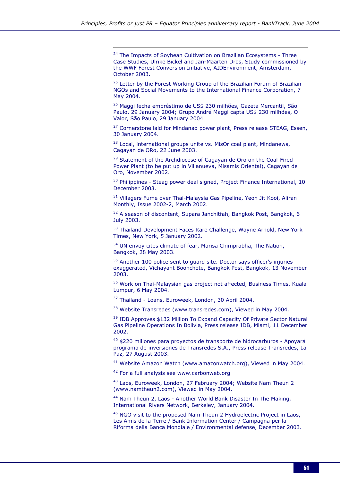<sup>24</sup> The Impacts of Soybean Cultivation on Brazilian Ecosystems - Three Case Studies, Ulrike Bickel and Jan-Maarten Dros, Study commissioned by the WWF Forest Conversion Initiative, AIDEnvironment, Amsterdam, October 2003.

<sup>25</sup> Letter by the Forest Working Group of the Brazilian Forum of Brazilian NGOs and Social Movements to the International Finance Corporation, 7 May 2004.

<sup>26</sup> Maggi fecha empréstimo de US\$ 230 milhões, Gazeta Mercantil, São Paulo, 29 January 2004; Grupo André Maggi capta US\$ 230 milhões, O Valor, São Paulo, 29 January 2004.

<sup>27</sup> Cornerstone laid for Mindanao power plant, Press release STEAG, Essen, 30 January 2004.

<sup>28</sup> Local, international groups unite vs. MisOr coal plant, Mindanews, Cagayan de ORo, 22 June 2003.

<sup>29</sup> Statement of the Archdiocese of Cagayan de Oro on the Coal-Fired Power Plant (to be put up in Villanueva, Misamis Oriental), Cagayan de Oro, November 2002.

<sup>30</sup> Philippines - Steag power deal signed, Project Finance International, 10 December 2003.

<sup>31</sup> Villagers Fume over Thai-Malaysia Gas Pipeline, Yeoh Jit Kooi, Aliran Monthly, Issue 2002-2, March 2002.

 $32$  A season of discontent, Supara Janchitfah, Bangkok Post, Bangkok, 6 July 2003.

<sup>33</sup> Thailand Development Faces Rare Challenge, Wayne Arnold, New York Times, New York, 5 January 2002.

 $34$  UN envoy cites climate of fear, Marisa Chimprabha, The Nation, Bangkok, 28 May 2003.

<sup>35</sup> Another 100 police sent to quard site. Doctor says officer's injuries exaggerated, Vichayant Boonchote, Bangkok Post, Bangkok, 13 November 2003.

<sup>36</sup> Work on Thai-Malaysian gas project not affected, Business Times, Kuala Lumpur, 6 May 2004.

<sup>37</sup> Thailand - Loans, Euroweek, London, 30 April 2004.

<sup>38</sup> Website Transredes (www.transredes.com), Viewed in May 2004.

<sup>39</sup> IDB Approves \$132 Million To Expand Capacity Of Private Sector Natural Gas Pipeline Operations In Bolivia, Press release IDB, Miami, 11 December 2002.

<sup>40</sup> \$220 millones para proyectos de transporte de hidrocarburos - Apoyará programa de inversiones de Transredes S.A., Press release Transredes, La Paz, 27 August 2003.

<sup>41</sup> Website Amazon Watch (www.amazonwatch.org), Viewed in May 2004.

<sup>42</sup> For a full analysis see www.carbonweb.org

43 Laos, Euroweek, London, 27 February 2004; Website Nam Theun 2 (www.namtheun2.com), Viewed in May 2004.

<sup>44</sup> Nam Theun 2, Laos - Another World Bank Disaster In The Making, International Rivers Network, Berkeley, January 2004.

<sup>45</sup> NGO visit to the proposed Nam Theun 2 Hydroelectric Project in Laos, Les Amis de la Terre / Bank Information Center / Campagna per la Riforma della Banca Mondiale / Environmental defense, December 2003.